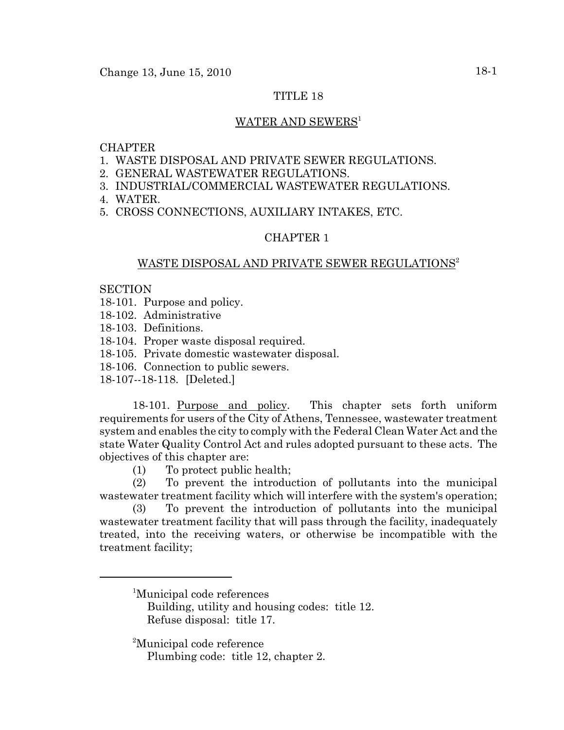## TITLE 18

#### WATER AND SEWERS<sup>1</sup>

## **CHAPTER**

- 1. WASTE DISPOSAL AND PRIVATE SEWER REGULATIONS.
- 2. GENERAL WASTEWATER REGULATIONS.
- 3. INDUSTRIAL/COMMERCIAL WASTEWATER REGULATIONS.
- 4. WATER.
- 5. CROSS CONNECTIONS, AUXILIARY INTAKES, ETC.

#### CHAPTER 1

#### WASTE DISPOSAL AND PRIVATE SEWER REGULATIONS<sup>2</sup>

#### **SECTION**

- 18-101. Purpose and policy.
- 18-102. Administrative
- 18-103. Definitions.
- 18-104. Proper waste disposal required.
- 18-105. Private domestic wastewater disposal.
- 18-106. Connection to public sewers.
- 18-107--18-118. [Deleted.]

18-101. Purpose and policy. This chapter sets forth uniform requirements for users of the City of Athens, Tennessee, wastewater treatment system and enables the city to comply with the Federal Clean Water Act and the state Water Quality Control Act and rules adopted pursuant to these acts. The objectives of this chapter are:

(1) To protect public health;

(2) To prevent the introduction of pollutants into the municipal wastewater treatment facility which will interfere with the system's operation;

(3) To prevent the introduction of pollutants into the municipal wastewater treatment facility that will pass through the facility, inadequately treated, into the receiving waters, or otherwise be incompatible with the treatment facility;

Building, utility and housing codes: title 12. Refuse disposal: title 17.

<sup>2</sup>Municipal code reference

Plumbing code: title 12, chapter 2.

<sup>1</sup> Municipal code references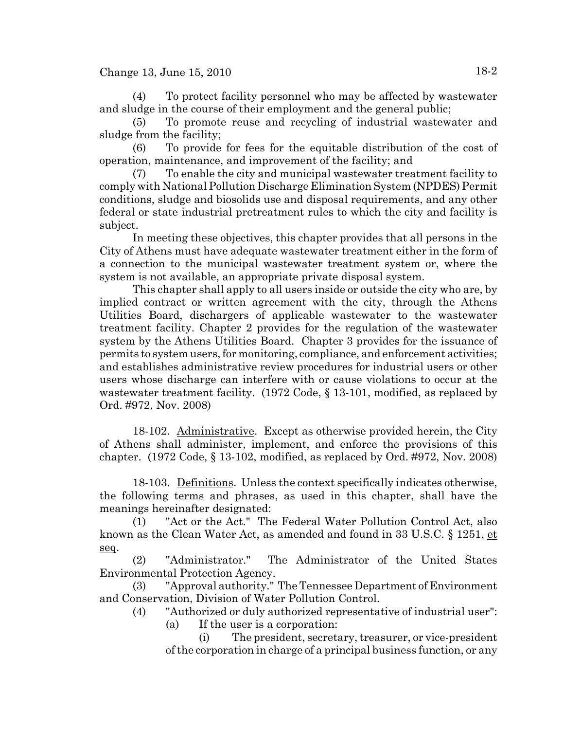(4) To protect facility personnel who may be affected by wastewater and sludge in the course of their employment and the general public;

(5) To promote reuse and recycling of industrial wastewater and sludge from the facility;

(6) To provide for fees for the equitable distribution of the cost of operation, maintenance, and improvement of the facility; and

(7) To enable the city and municipal wastewater treatment facility to comply with National Pollution Discharge Elimination System (NPDES) Permit conditions, sludge and biosolids use and disposal requirements, and any other federal or state industrial pretreatment rules to which the city and facility is subject.

In meeting these objectives, this chapter provides that all persons in the City of Athens must have adequate wastewater treatment either in the form of a connection to the municipal wastewater treatment system or, where the system is not available, an appropriate private disposal system.

This chapter shall apply to all users inside or outside the city who are, by implied contract or written agreement with the city, through the Athens Utilities Board, dischargers of applicable wastewater to the wastewater treatment facility. Chapter 2 provides for the regulation of the wastewater system by the Athens Utilities Board. Chapter 3 provides for the issuance of permits to system users, for monitoring, compliance, and enforcement activities; and establishes administrative review procedures for industrial users or other users whose discharge can interfere with or cause violations to occur at the wastewater treatment facility. (1972 Code, § 13-101, modified, as replaced by Ord. #972, Nov. 2008)

18-102. Administrative. Except as otherwise provided herein, the City of Athens shall administer, implement, and enforce the provisions of this chapter.  $(1972 \text{ Code}, \S 13-102, \text{modified}, \text{as replaced by Ord}, \#972, \text{Nov}, 2008)$ 

18-103. Definitions. Unless the context specifically indicates otherwise, the following terms and phrases, as used in this chapter, shall have the meanings hereinafter designated:

(1) "Act or the Act." The Federal Water Pollution Control Act, also known as the Clean Water Act, as amended and found in 33 U.S.C. § 1251, et seq.

(2) "Administrator." The Administrator of the United States Environmental Protection Agency.

(3) "Approval authority." The Tennessee Department of Environment and Conservation, Division of Water Pollution Control.

(4) "Authorized or duly authorized representative of industrial user":

(a) If the user is a corporation:

(i) The president, secretary, treasurer, or vice-president of the corporation in charge of a principal business function, or any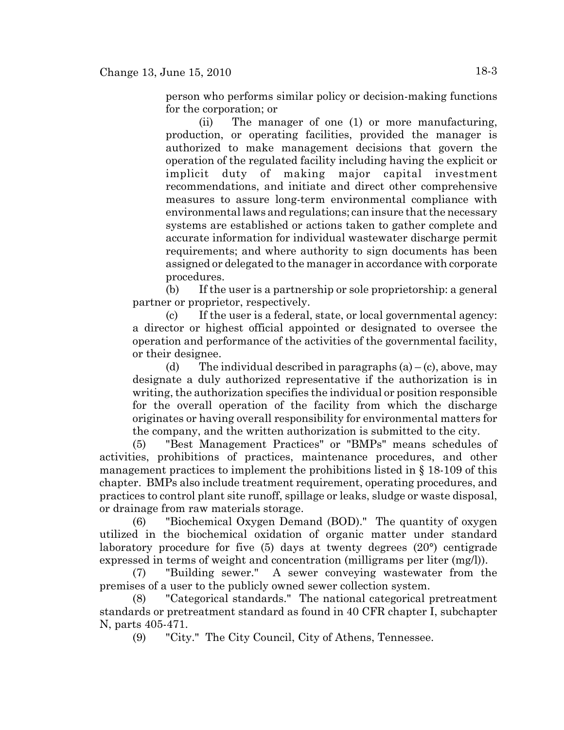person who performs similar policy or decision-making functions for the corporation; or

(ii) The manager of one (1) or more manufacturing, production, or operating facilities, provided the manager is authorized to make management decisions that govern the operation of the regulated facility including having the explicit or implicit duty of making major capital investment recommendations, and initiate and direct other comprehensive measures to assure long-term environmental compliance with environmental laws and regulations; can insure that the necessary systems are established or actions taken to gather complete and accurate information for individual wastewater discharge permit requirements; and where authority to sign documents has been assigned or delegated to the manager in accordance with corporate procedures.

(b) If the user is a partnership or sole proprietorship: a general partner or proprietor, respectively.

(c) If the user is a federal, state, or local governmental agency: a director or highest official appointed or designated to oversee the operation and performance of the activities of the governmental facility, or their designee.

(d) The individual described in paragraphs  $(a) - (c)$ , above, may designate a duly authorized representative if the authorization is in writing, the authorization specifies the individual or position responsible for the overall operation of the facility from which the discharge originates or having overall responsibility for environmental matters for the company, and the written authorization is submitted to the city.

(5) "Best Management Practices" or "BMPs" means schedules of activities, prohibitions of practices, maintenance procedures, and other management practices to implement the prohibitions listed in § 18-109 of this chapter. BMPs also include treatment requirement, operating procedures, and practices to control plant site runoff, spillage or leaks, sludge or waste disposal, or drainage from raw materials storage.

(6) "Biochemical Oxygen Demand (BOD)." The quantity of oxygen utilized in the biochemical oxidation of organic matter under standard laboratory procedure for five (5) days at twenty degrees (20°) centigrade expressed in terms of weight and concentration (milligrams per liter (mg/l)).

(7) "Building sewer." A sewer conveying wastewater from the premises of a user to the publicly owned sewer collection system.

(8) "Categorical standards." The national categorical pretreatment standards or pretreatment standard as found in 40 CFR chapter I, subchapter N, parts 405-471.

(9) "City." The City Council, City of Athens, Tennessee.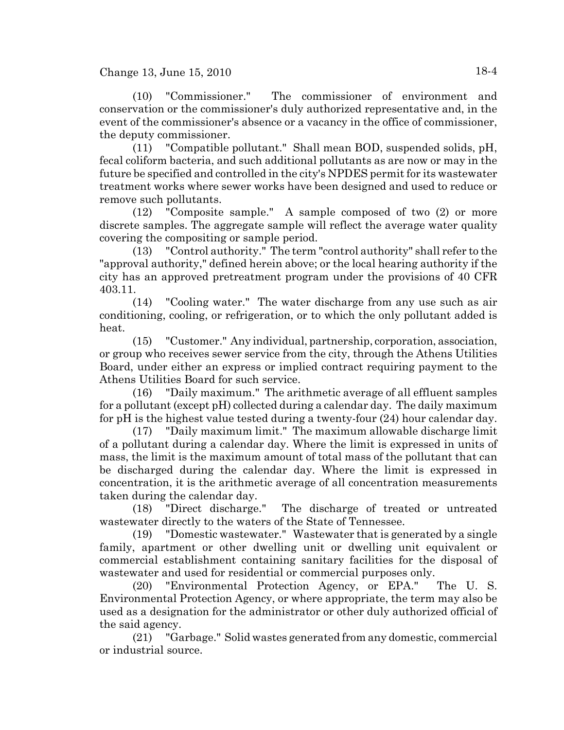(10) "Commissioner." The commissioner of environment and conservation or the commissioner's duly authorized representative and, in the event of the commissioner's absence or a vacancy in the office of commissioner, the deputy commissioner.

(11) "Compatible pollutant." Shall mean BOD, suspended solids, pH, fecal coliform bacteria, and such additional pollutants as are now or may in the future be specified and controlled in the city's NPDES permit for its wastewater treatment works where sewer works have been designed and used to reduce or remove such pollutants.

(12) "Composite sample." A sample composed of two (2) or more discrete samples. The aggregate sample will reflect the average water quality covering the compositing or sample period.

(13) "Control authority." The term "control authority" shall refer to the "approval authority," defined herein above; or the local hearing authority if the city has an approved pretreatment program under the provisions of 40 CFR 403.11.

(14) "Cooling water." The water discharge from any use such as air conditioning, cooling, or refrigeration, or to which the only pollutant added is heat.

(15) "Customer." Any individual, partnership, corporation, association, or group who receives sewer service from the city, through the Athens Utilities Board, under either an express or implied contract requiring payment to the Athens Utilities Board for such service.

(16) "Daily maximum." The arithmetic average of all effluent samples for a pollutant (except pH) collected during a calendar day. The daily maximum for pH is the highest value tested during a twenty-four (24) hour calendar day.

(17) "Daily maximum limit." The maximum allowable discharge limit of a pollutant during a calendar day. Where the limit is expressed in units of mass, the limit is the maximum amount of total mass of the pollutant that can be discharged during the calendar day. Where the limit is expressed in concentration, it is the arithmetic average of all concentration measurements taken during the calendar day.

(18) "Direct discharge." The discharge of treated or untreated wastewater directly to the waters of the State of Tennessee.

(19) "Domestic wastewater." Wastewater that is generated by a single family, apartment or other dwelling unit or dwelling unit equivalent or commercial establishment containing sanitary facilities for the disposal of wastewater and used for residential or commercial purposes only.

(20) "Environmental Protection Agency, or EPA." The U. S. Environmental Protection Agency, or where appropriate, the term may also be used as a designation for the administrator or other duly authorized official of the said agency.

(21) "Garbage." Solid wastes generated from any domestic, commercial or industrial source.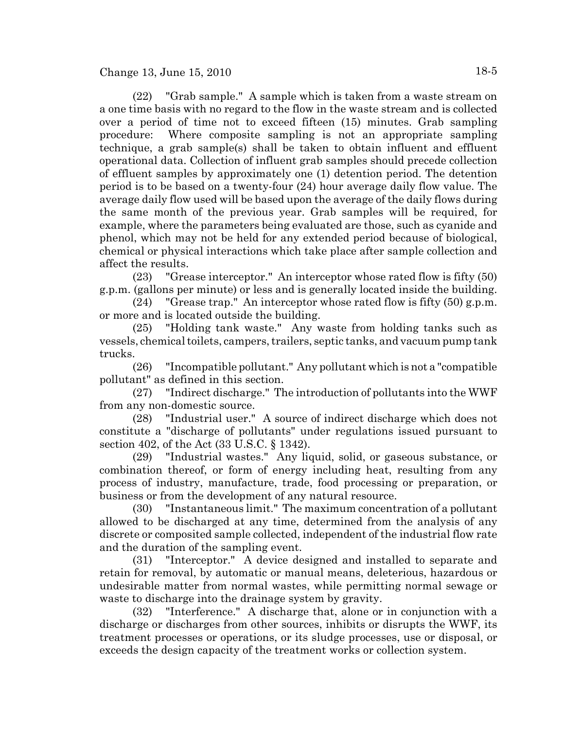(22) "Grab sample." A sample which is taken from a waste stream on a one time basis with no regard to the flow in the waste stream and is collected over a period of time not to exceed fifteen (15) minutes. Grab sampling procedure: Where composite sampling is not an appropriate sampling technique, a grab sample(s) shall be taken to obtain influent and effluent operational data. Collection of influent grab samples should precede collection of effluent samples by approximately one (1) detention period. The detention period is to be based on a twenty-four (24) hour average daily flow value. The average daily flow used will be based upon the average of the daily flows during the same month of the previous year. Grab samples will be required, for example, where the parameters being evaluated are those, such as cyanide and phenol, which may not be held for any extended period because of biological, chemical or physical interactions which take place after sample collection and affect the results.

(23) "Grease interceptor." An interceptor whose rated flow is fifty (50) g.p.m. (gallons per minute) or less and is generally located inside the building.

(24) "Grease trap." An interceptor whose rated flow is fifty (50) g.p.m. or more and is located outside the building.

(25) "Holding tank waste." Any waste from holding tanks such as vessels, chemical toilets, campers, trailers, septic tanks, and vacuum pump tank trucks.

(26) "Incompatible pollutant." Any pollutant which is not a "compatible pollutant" as defined in this section.

(27) "Indirect discharge." The introduction of pollutants into the WWF from any non-domestic source.

(28) "Industrial user." A source of indirect discharge which does not constitute a "discharge of pollutants" under regulations issued pursuant to section 402, of the Act (33 U.S.C. § 1342).

(29) "Industrial wastes." Any liquid, solid, or gaseous substance, or combination thereof, or form of energy including heat, resulting from any process of industry, manufacture, trade, food processing or preparation, or business or from the development of any natural resource.

(30) "Instantaneous limit." The maximum concentration of a pollutant allowed to be discharged at any time, determined from the analysis of any discrete or composited sample collected, independent of the industrial flow rate and the duration of the sampling event.

(31) "Interceptor." A device designed and installed to separate and retain for removal, by automatic or manual means, deleterious, hazardous or undesirable matter from normal wastes, while permitting normal sewage or waste to discharge into the drainage system by gravity.

(32) "Interference." A discharge that, alone or in conjunction with a discharge or discharges from other sources, inhibits or disrupts the WWF, its treatment processes or operations, or its sludge processes, use or disposal, or exceeds the design capacity of the treatment works or collection system.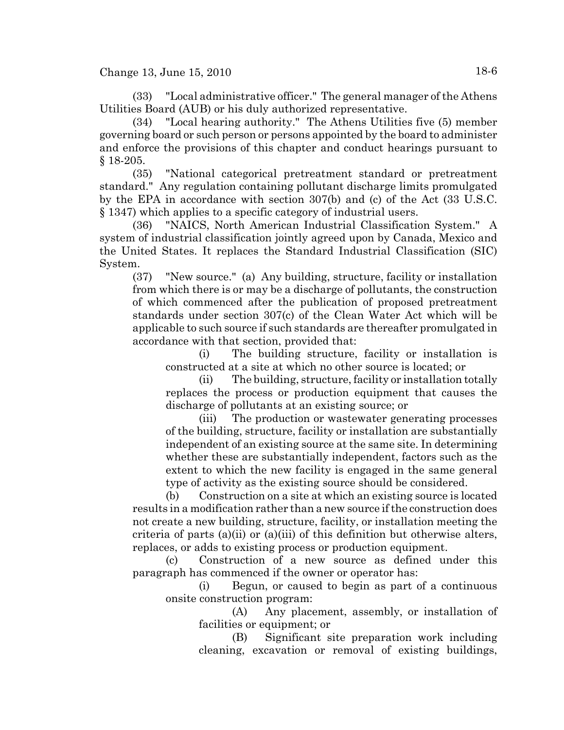(33) "Local administrative officer." The general manager of the Athens Utilities Board (AUB) or his duly authorized representative.

(34) "Local hearing authority." The Athens Utilities five (5) member governing board or such person or persons appointed by the board to administer and enforce the provisions of this chapter and conduct hearings pursuant to § 18-205.

(35) "National categorical pretreatment standard or pretreatment standard." Any regulation containing pollutant discharge limits promulgated by the EPA in accordance with section 307(b) and (c) of the Act (33 U.S.C. § 1347) which applies to a specific category of industrial users.

(36) "NAICS, North American Industrial Classification System." A system of industrial classification jointly agreed upon by Canada, Mexico and the United States. It replaces the Standard Industrial Classification (SIC) System.

(37) "New source." (a) Any building, structure, facility or installation from which there is or may be a discharge of pollutants, the construction of which commenced after the publication of proposed pretreatment standards under section 307(c) of the Clean Water Act which will be applicable to such source if such standards are thereafter promulgated in accordance with that section, provided that:

(i) The building structure, facility or installation is constructed at a site at which no other source is located; or

(ii) The building, structure, facility or installation totally replaces the process or production equipment that causes the discharge of pollutants at an existing source; or

(iii) The production or wastewater generating processes of the building, structure, facility or installation are substantially independent of an existing source at the same site. In determining whether these are substantially independent, factors such as the extent to which the new facility is engaged in the same general type of activity as the existing source should be considered.

(b) Construction on a site at which an existing source is located results in a modification rather than a new source if the construction does not create a new building, structure, facility, or installation meeting the criteria of parts (a)(ii) or (a)(iii) of this definition but otherwise alters, replaces, or adds to existing process or production equipment.

(c) Construction of a new source as defined under this paragraph has commenced if the owner or operator has:

(i) Begun, or caused to begin as part of a continuous onsite construction program:

(A) Any placement, assembly, or installation of facilities or equipment; or

(B) Significant site preparation work including cleaning, excavation or removal of existing buildings,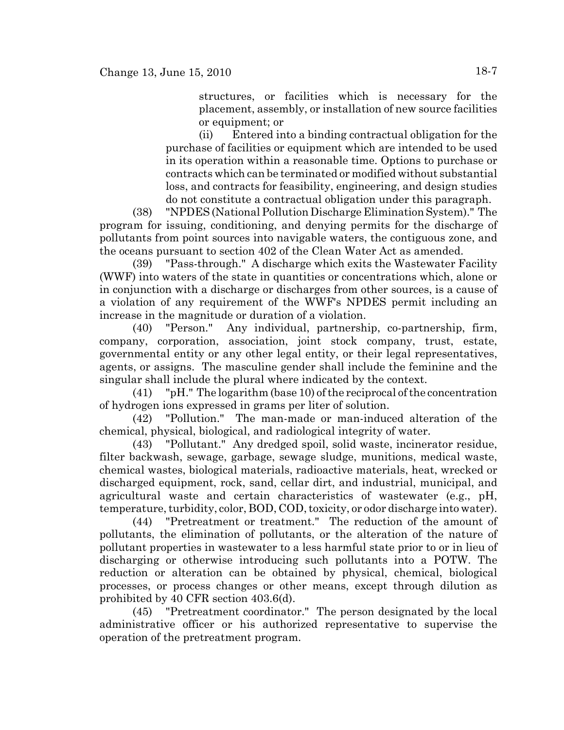structures, or facilities which is necessary for the placement, assembly, or installation of new source facilities or equipment; or

(ii) Entered into a binding contractual obligation for the purchase of facilities or equipment which are intended to be used in its operation within a reasonable time. Options to purchase or contracts which can be terminated or modified without substantial loss, and contracts for feasibility, engineering, and design studies do not constitute a contractual obligation under this paragraph.

(38) "NPDES (National Pollution Discharge Elimination System)." The program for issuing, conditioning, and denying permits for the discharge of pollutants from point sources into navigable waters, the contiguous zone, and the oceans pursuant to section 402 of the Clean Water Act as amended.

(39) "Pass-through." A discharge which exits the Wastewater Facility (WWF) into waters of the state in quantities or concentrations which, alone or in conjunction with a discharge or discharges from other sources, is a cause of a violation of any requirement of the WWF's NPDES permit including an increase in the magnitude or duration of a violation.

(40) "Person." Any individual, partnership, co-partnership, firm, company, corporation, association, joint stock company, trust, estate, governmental entity or any other legal entity, or their legal representatives, agents, or assigns. The masculine gender shall include the feminine and the singular shall include the plural where indicated by the context.

(41) "pH." The logarithm (base 10) of the reciprocal of the concentration of hydrogen ions expressed in grams per liter of solution.

(42) "Pollution." The man-made or man-induced alteration of the chemical, physical, biological, and radiological integrity of water.

(43) "Pollutant." Any dredged spoil, solid waste, incinerator residue, filter backwash, sewage, garbage, sewage sludge, munitions, medical waste, chemical wastes, biological materials, radioactive materials, heat, wrecked or discharged equipment, rock, sand, cellar dirt, and industrial, municipal, and agricultural waste and certain characteristics of wastewater (e.g., pH, temperature, turbidity, color, BOD, COD, toxicity, or odor discharge into water).

(44) "Pretreatment or treatment." The reduction of the amount of pollutants, the elimination of pollutants, or the alteration of the nature of pollutant properties in wastewater to a less harmful state prior to or in lieu of discharging or otherwise introducing such pollutants into a POTW. The reduction or alteration can be obtained by physical, chemical, biological processes, or process changes or other means, except through dilution as prohibited by 40 CFR section 403.6(d).

(45) "Pretreatment coordinator." The person designated by the local administrative officer or his authorized representative to supervise the operation of the pretreatment program.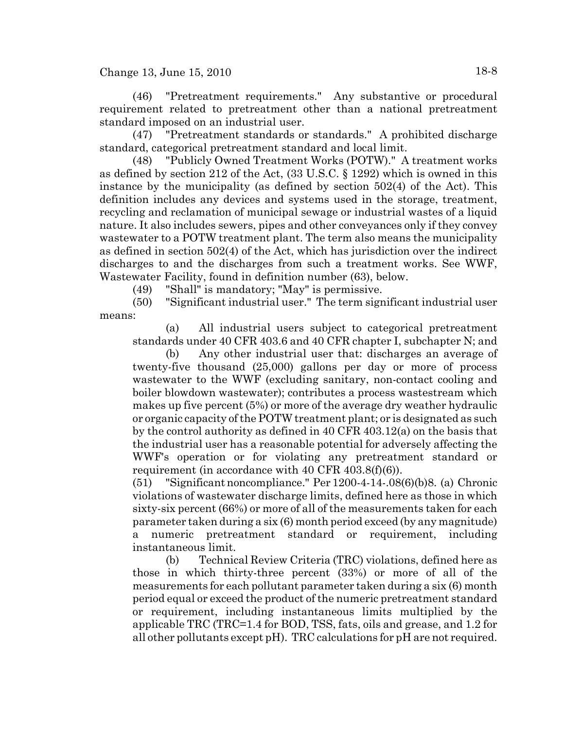(46) "Pretreatment requirements." Any substantive or procedural requirement related to pretreatment other than a national pretreatment standard imposed on an industrial user.

(47) "Pretreatment standards or standards." A prohibited discharge standard, categorical pretreatment standard and local limit.

(48) "Publicly Owned Treatment Works (POTW)." A treatment works as defined by section 212 of the Act, (33 U.S.C. § 1292) which is owned in this instance by the municipality (as defined by section 502(4) of the Act). This definition includes any devices and systems used in the storage, treatment, recycling and reclamation of municipal sewage or industrial wastes of a liquid nature. It also includes sewers, pipes and other conveyances only if they convey wastewater to a POTW treatment plant. The term also means the municipality as defined in section 502(4) of the Act, which has jurisdiction over the indirect discharges to and the discharges from such a treatment works. See WWF, Wastewater Facility, found in definition number (63), below.

(49) "Shall" is mandatory; "May" is permissive.

(50) "Significant industrial user." The term significant industrial user means:

(a) All industrial users subject to categorical pretreatment standards under 40 CFR 403.6 and 40 CFR chapter I, subchapter N; and

(b) Any other industrial user that: discharges an average of twenty-five thousand (25,000) gallons per day or more of process wastewater to the WWF (excluding sanitary, non-contact cooling and boiler blowdown wastewater); contributes a process wastestream which makes up five percent (5%) or more of the average dry weather hydraulic or organic capacity of the POTW treatment plant; or is designated as such by the control authority as defined in 40 CFR 403.12(a) on the basis that the industrial user has a reasonable potential for adversely affecting the WWF's operation or for violating any pretreatment standard or requirement (in accordance with 40 CFR 403.8(f)(6)).

(51) "Significant noncompliance." Per 1200-4-14-.08(6)(b)8. (a) Chronic violations of wastewater discharge limits, defined here as those in which sixty-six percent (66%) or more of all of the measurements taken for each parameter taken during a six (6) month period exceed (by any magnitude) a numeric pretreatment standard or requirement, including instantaneous limit.

(b) Technical Review Criteria (TRC) violations, defined here as those in which thirty-three percent (33%) or more of all of the measurements for each pollutant parameter taken during a six (6) month period equal or exceed the product of the numeric pretreatment standard or requirement, including instantaneous limits multiplied by the applicable TRC (TRC=1.4 for BOD, TSS, fats, oils and grease, and 1.2 for all other pollutants except pH). TRC calculations for pH are not required.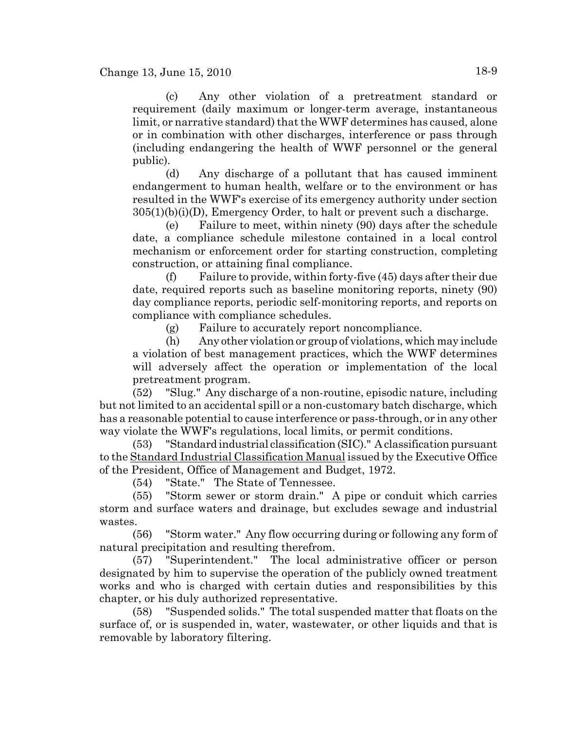(c) Any other violation of a pretreatment standard or requirement (daily maximum or longer-term average, instantaneous limit, or narrative standard) that the WWF determines has caused, alone or in combination with other discharges, interference or pass through (including endangering the health of WWF personnel or the general public).

(d) Any discharge of a pollutant that has caused imminent endangerment to human health, welfare or to the environment or has resulted in the WWF's exercise of its emergency authority under section  $305(1)(b)(i)(D)$ , Emergency Order, to halt or prevent such a discharge.

(e) Failure to meet, within ninety (90) days after the schedule date, a compliance schedule milestone contained in a local control mechanism or enforcement order for starting construction, completing construction, or attaining final compliance.

(f) Failure to provide, within forty-five (45) days after their due date, required reports such as baseline monitoring reports, ninety (90) day compliance reports, periodic self-monitoring reports, and reports on compliance with compliance schedules.

(g) Failure to accurately report noncompliance.

(h) Any other violation or group of violations, which may include a violation of best management practices, which the WWF determines will adversely affect the operation or implementation of the local pretreatment program.

(52) "Slug." Any discharge of a non-routine, episodic nature, including but not limited to an accidental spill or a non-customary batch discharge, which has a reasonable potential to cause interference or pass-through, or in any other way violate the WWF's regulations, local limits, or permit conditions.

(53) "Standard industrial classification (SIC)." A classification pursuant to the Standard Industrial Classification Manual issued by the Executive Office of the President, Office of Management and Budget, 1972.

(54) "State." The State of Tennessee.

(55) "Storm sewer or storm drain." A pipe or conduit which carries storm and surface waters and drainage, but excludes sewage and industrial wastes.

(56) "Storm water." Any flow occurring during or following any form of natural precipitation and resulting therefrom.

(57) "Superintendent." The local administrative officer or person designated by him to supervise the operation of the publicly owned treatment works and who is charged with certain duties and responsibilities by this chapter, or his duly authorized representative.

(58) "Suspended solids." The total suspended matter that floats on the surface of, or is suspended in, water, wastewater, or other liquids and that is removable by laboratory filtering.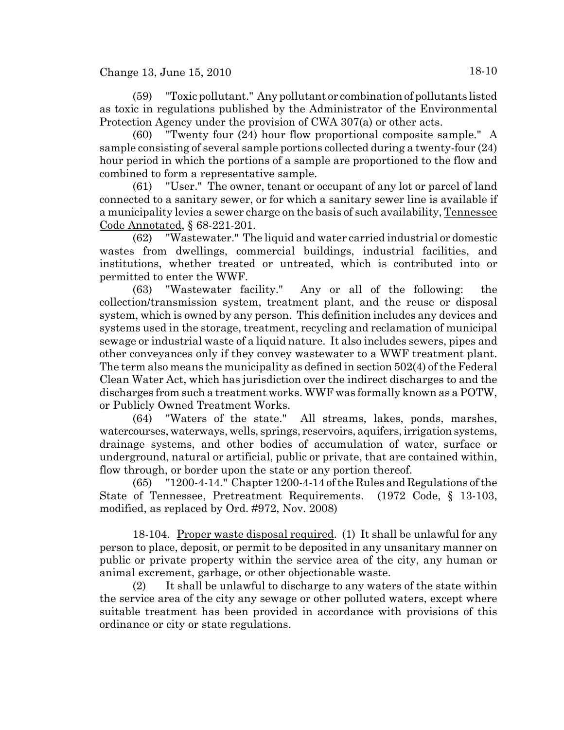(59) "Toxic pollutant." Any pollutant or combination of pollutants listed as toxic in regulations published by the Administrator of the Environmental Protection Agency under the provision of CWA 307(a) or other acts.

(60) "Twenty four (24) hour flow proportional composite sample." A sample consisting of several sample portions collected during a twenty-four (24) hour period in which the portions of a sample are proportioned to the flow and combined to form a representative sample.

(61) "User." The owner, tenant or occupant of any lot or parcel of land connected to a sanitary sewer, or for which a sanitary sewer line is available if a municipality levies a sewer charge on the basis of such availability, Tennessee Code Annotated, § 68-221-201.

(62) "Wastewater." The liquid and water carried industrial or domestic wastes from dwellings, commercial buildings, industrial facilities, and institutions, whether treated or untreated, which is contributed into or permitted to enter the WWF.

(63) "Wastewater facility." Any or all of the following: the collection/transmission system, treatment plant, and the reuse or disposal system, which is owned by any person. This definition includes any devices and systems used in the storage, treatment, recycling and reclamation of municipal sewage or industrial waste of a liquid nature. It also includes sewers, pipes and other conveyances only if they convey wastewater to a WWF treatment plant. The term also means the municipality as defined in section 502(4) of the Federal Clean Water Act, which has jurisdiction over the indirect discharges to and the discharges from such a treatment works. WWF was formally known as a POTW, or Publicly Owned Treatment Works.

(64) "Waters of the state." All streams, lakes, ponds, marshes, watercourses, waterways, wells, springs, reservoirs, aquifers, irrigation systems, drainage systems, and other bodies of accumulation of water, surface or underground, natural or artificial, public or private, that are contained within, flow through, or border upon the state or any portion thereof.

(65) "1200-4-14." Chapter 1200-4-14 of the Rules and Regulations of the State of Tennessee, Pretreatment Requirements. (1972 Code, § 13-103, modified, as replaced by Ord. #972, Nov. 2008)

18-104. Proper waste disposal required. (1) It shall be unlawful for any person to place, deposit, or permit to be deposited in any unsanitary manner on public or private property within the service area of the city, any human or animal excrement, garbage, or other objectionable waste.

(2) It shall be unlawful to discharge to any waters of the state within the service area of the city any sewage or other polluted waters, except where suitable treatment has been provided in accordance with provisions of this ordinance or city or state regulations.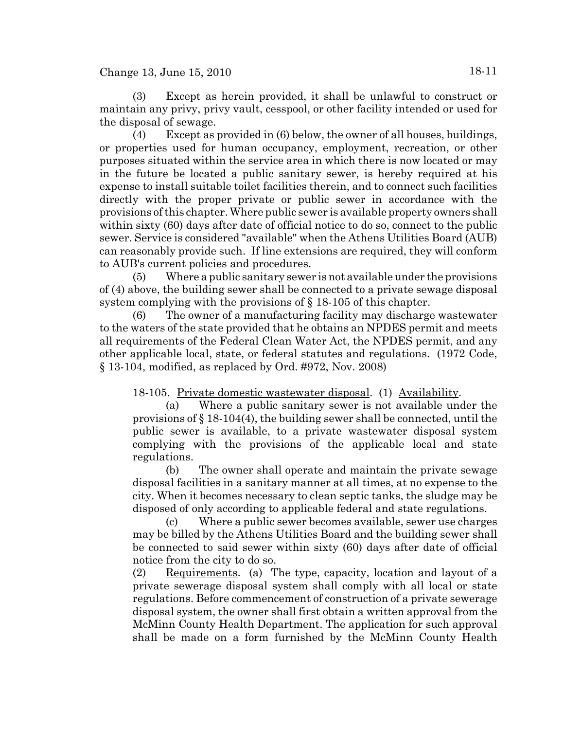(3) Except as herein provided, it shall be unlawful to construct or maintain any privy, privy vault, cesspool, or other facility intended or used for the disposal of sewage.

(4) Except as provided in (6) below, the owner of all houses, buildings, or properties used for human occupancy, employment, recreation, or other purposes situated within the service area in which there is now located or may in the future be located a public sanitary sewer, is hereby required at his expense to install suitable toilet facilities therein, and to connect such facilities directly with the proper private or public sewer in accordance with the provisions of this chapter. Where public sewer is available property owners shall within sixty (60) days after date of official notice to do so, connect to the public sewer. Service is considered "available" when the Athens Utilities Board (AUB) can reasonably provide such. If line extensions are required, they will conform to AUB's current policies and procedures.

(5) Where a public sanitary sewer is not available under the provisions of (4) above, the building sewer shall be connected to a private sewage disposal system complying with the provisions of § 18-105 of this chapter.

(6) The owner of a manufacturing facility may discharge wastewater to the waters of the state provided that he obtains an NPDES permit and meets all requirements of the Federal Clean Water Act, the NPDES permit, and any other applicable local, state, or federal statutes and regulations. (1972 Code, § 13-104, modified, as replaced by Ord. #972, Nov. 2008)

18-105. Private domestic wastewater disposal. (1) Availability.

(a) Where a public sanitary sewer is not available under the provisions of  $\S 18-104(4)$ , the building sewer shall be connected, until the public sewer is available, to a private wastewater disposal system complying with the provisions of the applicable local and state regulations.

(b) The owner shall operate and maintain the private sewage disposal facilities in a sanitary manner at all times, at no expense to the city. When it becomes necessary to clean septic tanks, the sludge may be disposed of only according to applicable federal and state regulations.

(c) Where a public sewer becomes available, sewer use charges may be billed by the Athens Utilities Board and the building sewer shall be connected to said sewer within sixty (60) days after date of official notice from the city to do so.

(2) Requirements. (a) The type, capacity, location and layout of a private sewerage disposal system shall comply with all local or state regulations. Before commencement of construction of a private sewerage disposal system, the owner shall first obtain a written approval from the McMinn County Health Department. The application for such approval shall be made on a form furnished by the McMinn County Health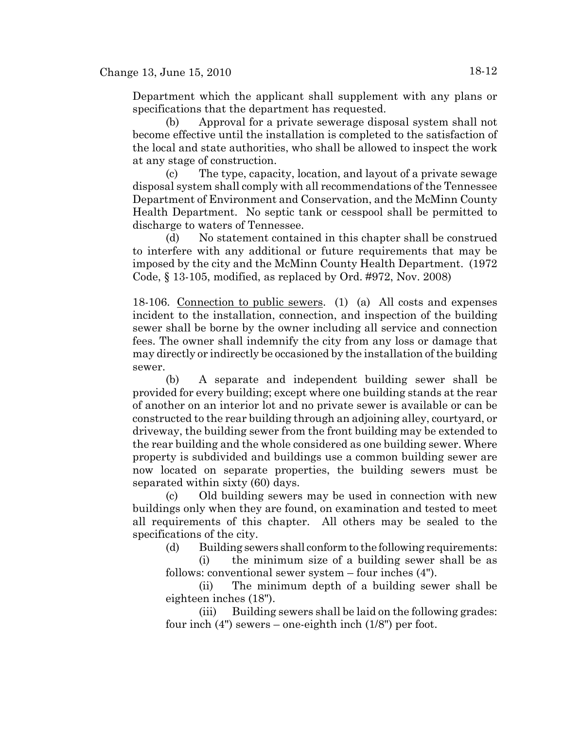Department which the applicant shall supplement with any plans or specifications that the department has requested.

(b) Approval for a private sewerage disposal system shall not become effective until the installation is completed to the satisfaction of the local and state authorities, who shall be allowed to inspect the work at any stage of construction.

(c) The type, capacity, location, and layout of a private sewage disposal system shall comply with all recommendations of the Tennessee Department of Environment and Conservation, and the McMinn County Health Department. No septic tank or cesspool shall be permitted to discharge to waters of Tennessee.

(d) No statement contained in this chapter shall be construed to interfere with any additional or future requirements that may be imposed by the city and the McMinn County Health Department. (1972 Code, § 13-105, modified, as replaced by Ord. #972, Nov. 2008)

18-106. Connection to public sewers. (1) (a) All costs and expenses incident to the installation, connection, and inspection of the building sewer shall be borne by the owner including all service and connection fees. The owner shall indemnify the city from any loss or damage that may directly or indirectly be occasioned by the installation of the building sewer.

(b) A separate and independent building sewer shall be provided for every building; except where one building stands at the rear of another on an interior lot and no private sewer is available or can be constructed to the rear building through an adjoining alley, courtyard, or driveway, the building sewer from the front building may be extended to the rear building and the whole considered as one building sewer. Where property is subdivided and buildings use a common building sewer are now located on separate properties, the building sewers must be separated within sixty (60) days.

(c) Old building sewers may be used in connection with new buildings only when they are found, on examination and tested to meet all requirements of this chapter. All others may be sealed to the specifications of the city.

(d) Building sewers shall conform to the following requirements:

(i) the minimum size of a building sewer shall be as follows: conventional sewer system – four inches (4").

(ii) The minimum depth of a building sewer shall be eighteen inches (18").

(iii) Building sewers shall be laid on the following grades: four inch  $(4")$  sewers – one-eighth inch  $(1/8")$  per foot.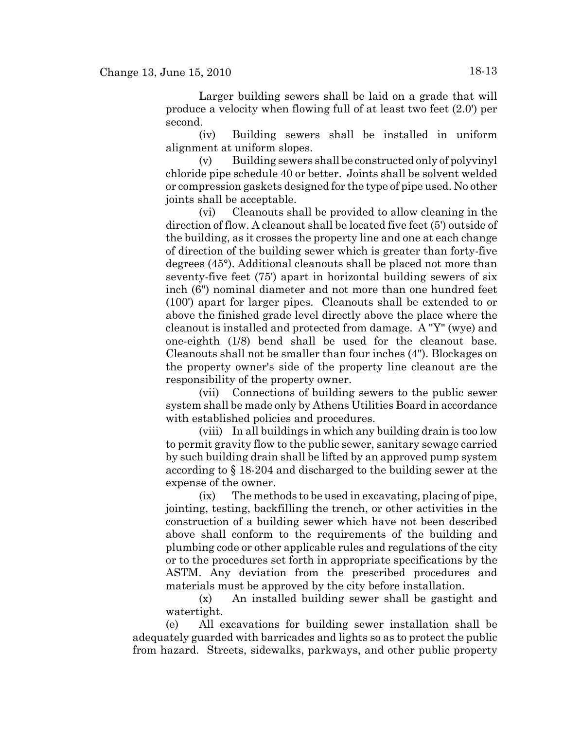Larger building sewers shall be laid on a grade that will produce a velocity when flowing full of at least two feet (2.0') per second.

(iv) Building sewers shall be installed in uniform alignment at uniform slopes.

(v) Building sewers shall be constructed only of polyvinyl chloride pipe schedule 40 or better. Joints shall be solvent welded or compression gaskets designed for the type of pipe used. No other joints shall be acceptable.

(vi) Cleanouts shall be provided to allow cleaning in the direction of flow. A cleanout shall be located five feet (5') outside of the building, as it crosses the property line and one at each change of direction of the building sewer which is greater than forty-five degrees (45°). Additional cleanouts shall be placed not more than seventy-five feet (75') apart in horizontal building sewers of six inch (6") nominal diameter and not more than one hundred feet (100') apart for larger pipes. Cleanouts shall be extended to or above the finished grade level directly above the place where the cleanout is installed and protected from damage. A "Y" (wye) and one-eighth (1/8) bend shall be used for the cleanout base. Cleanouts shall not be smaller than four inches (4"). Blockages on the property owner's side of the property line cleanout are the responsibility of the property owner.

(vii) Connections of building sewers to the public sewer system shall be made only by Athens Utilities Board in accordance with established policies and procedures.

(viii) In all buildings in which any building drain is too low to permit gravity flow to the public sewer, sanitary sewage carried by such building drain shall be lifted by an approved pump system according to § 18-204 and discharged to the building sewer at the expense of the owner.

(ix) The methods to be used in excavating, placing of pipe, jointing, testing, backfilling the trench, or other activities in the construction of a building sewer which have not been described above shall conform to the requirements of the building and plumbing code or other applicable rules and regulations of the city or to the procedures set forth in appropriate specifications by the ASTM. Any deviation from the prescribed procedures and materials must be approved by the city before installation.

(x) An installed building sewer shall be gastight and watertight.

(e) All excavations for building sewer installation shall be adequately guarded with barricades and lights so as to protect the public from hazard. Streets, sidewalks, parkways, and other public property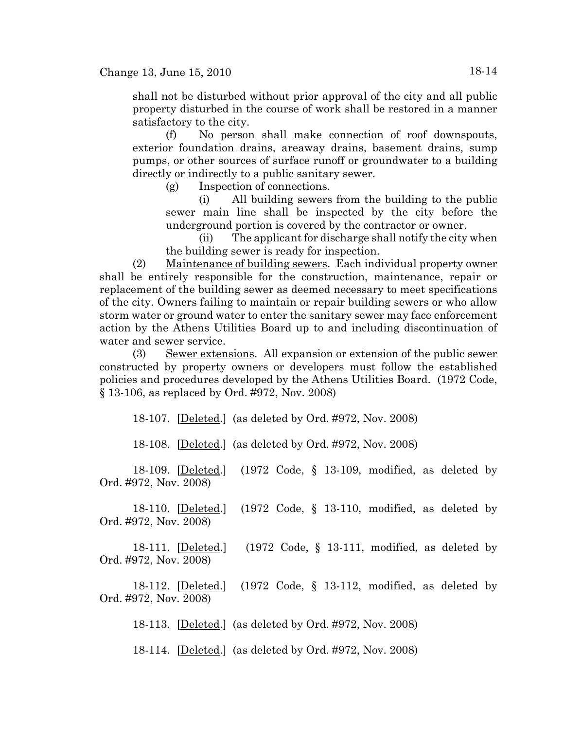shall not be disturbed without prior approval of the city and all public property disturbed in the course of work shall be restored in a manner satisfactory to the city.

(f) No person shall make connection of roof downspouts, exterior foundation drains, areaway drains, basement drains, sump pumps, or other sources of surface runoff or groundwater to a building directly or indirectly to a public sanitary sewer.

(g) Inspection of connections.

(i) All building sewers from the building to the public sewer main line shall be inspected by the city before the underground portion is covered by the contractor or owner.

(ii) The applicant for discharge shall notify the city when the building sewer is ready for inspection.

(2) Maintenance of building sewers. Each individual property owner shall be entirely responsible for the construction, maintenance, repair or replacement of the building sewer as deemed necessary to meet specifications of the city. Owners failing to maintain or repair building sewers or who allow storm water or ground water to enter the sanitary sewer may face enforcement action by the Athens Utilities Board up to and including discontinuation of water and sewer service.

(3) Sewer extensions. All expansion or extension of the public sewer constructed by property owners or developers must follow the established policies and procedures developed by the Athens Utilities Board. (1972 Code, § 13-106, as replaced by Ord. #972, Nov. 2008)

18-107. [Deleted.] (as deleted by Ord. #972, Nov. 2008)

18-108. [Deleted.] (as deleted by Ord. #972, Nov. 2008)

18-109. [Deleted.] (1972 Code, § 13-109, modified, as deleted by Ord. #972, Nov. 2008)

18-110. [Deleted.] (1972 Code, § 13-110, modified, as deleted by Ord. #972, Nov. 2008)

18-111. [Deleted.] (1972 Code, § 13-111, modified, as deleted by Ord. #972, Nov. 2008)

18-112. [Deleted.] (1972 Code, § 13-112, modified, as deleted by Ord. #972, Nov. 2008)

18-113. [Deleted.] (as deleted by Ord. #972, Nov. 2008)

18-114. [Deleted.] (as deleted by Ord. #972, Nov. 2008)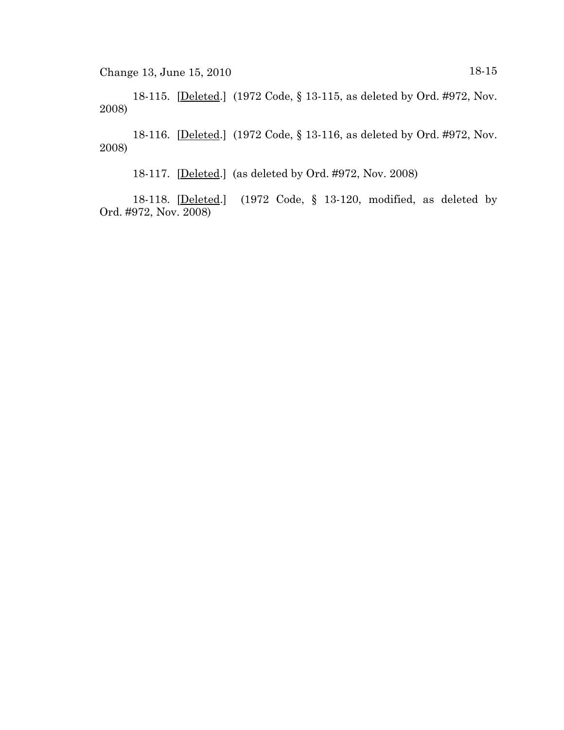18-115. [Deleted.] (1972 Code, § 13-115, as deleted by Ord. #972, Nov. 2008)

18-116. [Deleted.] (1972 Code, § 13-116, as deleted by Ord. #972, Nov. 2008)

18-117. [Deleted.] (as deleted by Ord. #972, Nov. 2008)

18-118. [Deleted.] (1972 Code, § 13-120, modified, as deleted by Ord. #972, Nov. 2008)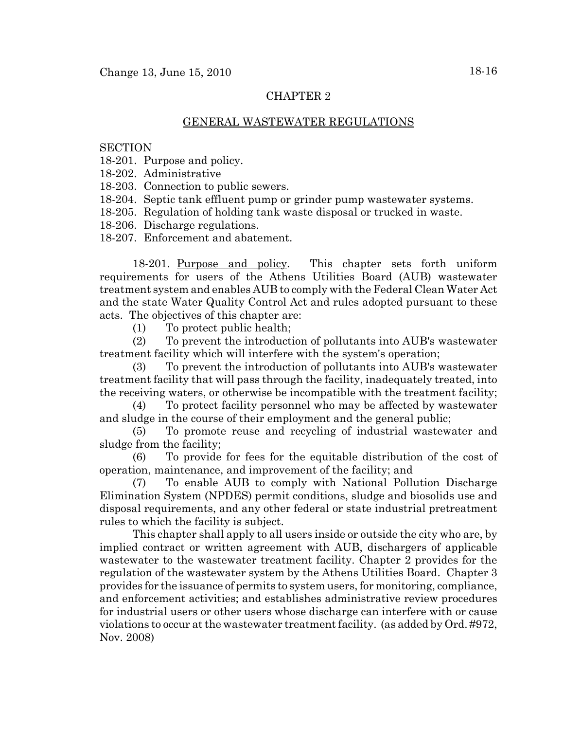# CHAPTER 2

## GENERAL WASTEWATER REGULATIONS

#### **SECTION**

18-201. Purpose and policy.

18-202. Administrative

18-203. Connection to public sewers.

- 18-204. Septic tank effluent pump or grinder pump wastewater systems.
- 18-205. Regulation of holding tank waste disposal or trucked in waste.
- 18-206. Discharge regulations.

18-207. Enforcement and abatement.

18-201. Purpose and policy. This chapter sets forth uniform requirements for users of the Athens Utilities Board (AUB) wastewater treatment system and enables AUB to comply with the Federal Clean Water Act and the state Water Quality Control Act and rules adopted pursuant to these acts. The objectives of this chapter are:

(1) To protect public health;

(2) To prevent the introduction of pollutants into AUB's wastewater treatment facility which will interfere with the system's operation;

(3) To prevent the introduction of pollutants into AUB's wastewater treatment facility that will pass through the facility, inadequately treated, into the receiving waters, or otherwise be incompatible with the treatment facility;

(4) To protect facility personnel who may be affected by wastewater and sludge in the course of their employment and the general public;

(5) To promote reuse and recycling of industrial wastewater and sludge from the facility;

(6) To provide for fees for the equitable distribution of the cost of operation, maintenance, and improvement of the facility; and

(7) To enable AUB to comply with National Pollution Discharge Elimination System (NPDES) permit conditions, sludge and biosolids use and disposal requirements, and any other federal or state industrial pretreatment rules to which the facility is subject.

This chapter shall apply to all users inside or outside the city who are, by implied contract or written agreement with AUB, dischargers of applicable wastewater to the wastewater treatment facility. Chapter 2 provides for the regulation of the wastewater system by the Athens Utilities Board. Chapter 3 provides for the issuance of permits to system users, for monitoring, compliance, and enforcement activities; and establishes administrative review procedures for industrial users or other users whose discharge can interfere with or cause violations to occur at the wastewater treatment facility. (as added by Ord. #972, Nov. 2008)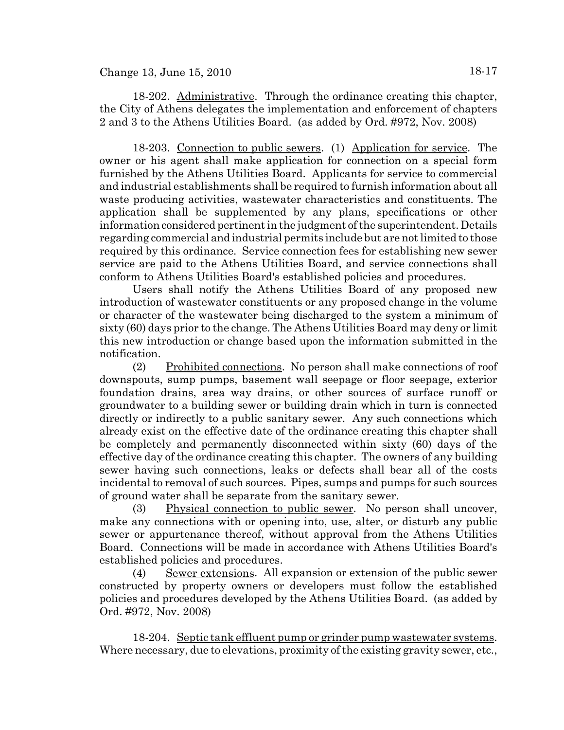18-202. Administrative. Through the ordinance creating this chapter, the City of Athens delegates the implementation and enforcement of chapters 2 and 3 to the Athens Utilities Board. (as added by Ord. #972, Nov. 2008)

18-203. Connection to public sewers. (1) Application for service. The owner or his agent shall make application for connection on a special form furnished by the Athens Utilities Board. Applicants for service to commercial and industrial establishments shall be required to furnish information about all waste producing activities, wastewater characteristics and constituents. The application shall be supplemented by any plans, specifications or other information considered pertinent in the judgment of the superintendent. Details regarding commercial and industrial permits include but are not limited to those required by this ordinance. Service connection fees for establishing new sewer service are paid to the Athens Utilities Board, and service connections shall conform to Athens Utilities Board's established policies and procedures.

Users shall notify the Athens Utilities Board of any proposed new introduction of wastewater constituents or any proposed change in the volume or character of the wastewater being discharged to the system a minimum of sixty (60) days prior to the change. The Athens Utilities Board may deny or limit this new introduction or change based upon the information submitted in the notification.

(2) Prohibited connections. No person shall make connections of roof downspouts, sump pumps, basement wall seepage or floor seepage, exterior foundation drains, area way drains, or other sources of surface runoff or groundwater to a building sewer or building drain which in turn is connected directly or indirectly to a public sanitary sewer. Any such connections which already exist on the effective date of the ordinance creating this chapter shall be completely and permanently disconnected within sixty (60) days of the effective day of the ordinance creating this chapter. The owners of any building sewer having such connections, leaks or defects shall bear all of the costs incidental to removal of such sources. Pipes, sumps and pumps for such sources of ground water shall be separate from the sanitary sewer.

(3) Physical connection to public sewer. No person shall uncover, make any connections with or opening into, use, alter, or disturb any public sewer or appurtenance thereof, without approval from the Athens Utilities Board. Connections will be made in accordance with Athens Utilities Board's established policies and procedures.

(4) Sewer extensions. All expansion or extension of the public sewer constructed by property owners or developers must follow the established policies and procedures developed by the Athens Utilities Board. (as added by Ord. #972, Nov. 2008)

18-204. Septic tank effluent pump or grinder pump wastewater systems. Where necessary, due to elevations, proximity of the existing gravity sewer, etc.,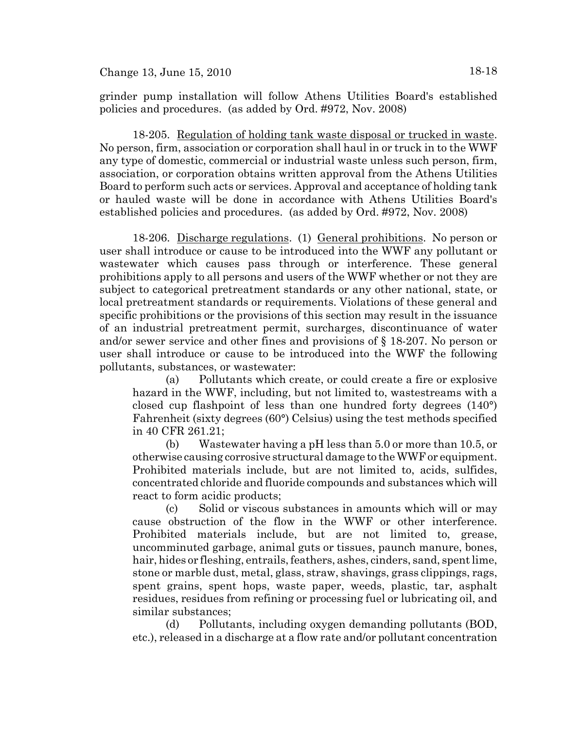18-205. Regulation of holding tank waste disposal or trucked in waste. No person, firm, association or corporation shall haul in or truck in to the WWF any type of domestic, commercial or industrial waste unless such person, firm, association, or corporation obtains written approval from the Athens Utilities Board to perform such acts or services. Approval and acceptance of holding tank or hauled waste will be done in accordance with Athens Utilities Board's established policies and procedures. (as added by Ord. #972, Nov. 2008)

18-206. Discharge regulations. (1) General prohibitions. No person or user shall introduce or cause to be introduced into the WWF any pollutant or wastewater which causes pass through or interference. These general prohibitions apply to all persons and users of the WWF whether or not they are subject to categorical pretreatment standards or any other national, state, or local pretreatment standards or requirements. Violations of these general and specific prohibitions or the provisions of this section may result in the issuance of an industrial pretreatment permit, surcharges, discontinuance of water and/or sewer service and other fines and provisions of § 18-207. No person or user shall introduce or cause to be introduced into the WWF the following pollutants, substances, or wastewater:

(a) Pollutants which create, or could create a fire or explosive hazard in the WWF, including, but not limited to, wastestreams with a closed cup flashpoint of less than one hundred forty degrees (140°) Fahrenheit (sixty degrees (60°) Celsius) using the test methods specified in 40 CFR 261.21;

(b) Wastewater having a pH less than 5.0 or more than 10.5, or otherwise causing corrosive structural damage to the WWF or equipment. Prohibited materials include, but are not limited to, acids, sulfides, concentrated chloride and fluoride compounds and substances which will react to form acidic products;

(c) Solid or viscous substances in amounts which will or may cause obstruction of the flow in the WWF or other interference. Prohibited materials include, but are not limited to, grease, uncomminuted garbage, animal guts or tissues, paunch manure, bones, hair, hides or fleshing, entrails, feathers, ashes, cinders, sand, spent lime, stone or marble dust, metal, glass, straw, shavings, grass clippings, rags, spent grains, spent hops, waste paper, weeds, plastic, tar, asphalt residues, residues from refining or processing fuel or lubricating oil, and similar substances;

(d) Pollutants, including oxygen demanding pollutants (BOD, etc.), released in a discharge at a flow rate and/or pollutant concentration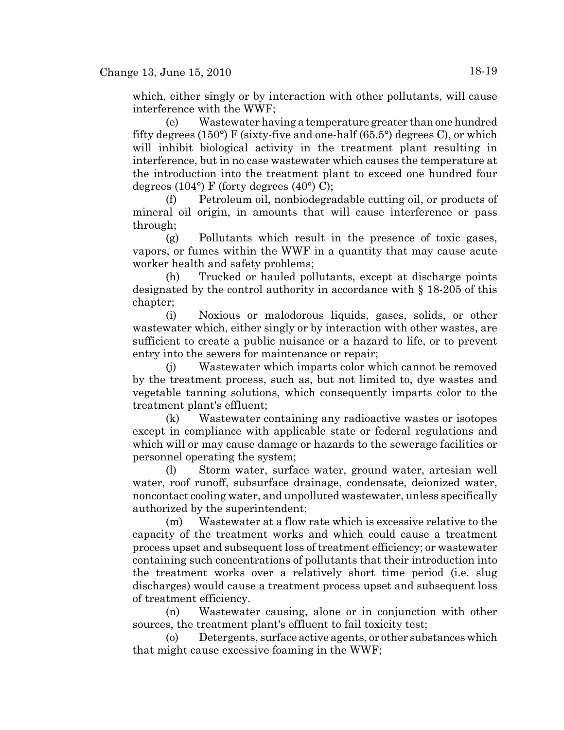which, either singly or by interaction with other pollutants, will cause interference with the WWF;

(e) Wastewater having a temperature greater than one hundred fifty degrees (150°) F (sixty-five and one-half (65.5°) degrees C), or which will inhibit biological activity in the treatment plant resulting in interference, but in no case wastewater which causes the temperature at the introduction into the treatment plant to exceed one hundred four degrees  $(104^{\circ})$  F (forty degrees  $(40^{\circ})$  C);

(f) Petroleum oil, nonbiodegradable cutting oil, or products of mineral oil origin, in amounts that will cause interference or pass through;

(g) Pollutants which result in the presence of toxic gases, vapors, or fumes within the WWF in a quantity that may cause acute worker health and safety problems;

(h) Trucked or hauled pollutants, except at discharge points designated by the control authority in accordance with § 18-205 of this chapter;

(i) Noxious or malodorous liquids, gases, solids, or other wastewater which, either singly or by interaction with other wastes, are sufficient to create a public nuisance or a hazard to life, or to prevent entry into the sewers for maintenance or repair;

(j) Wastewater which imparts color which cannot be removed by the treatment process, such as, but not limited to, dye wastes and vegetable tanning solutions, which consequently imparts color to the treatment plant's effluent;

(k) Wastewater containing any radioactive wastes or isotopes except in compliance with applicable state or federal regulations and which will or may cause damage or hazards to the sewerage facilities or personnel operating the system;

(l) Storm water, surface water, ground water, artesian well water, roof runoff, subsurface drainage, condensate, deionized water, noncontact cooling water, and unpolluted wastewater, unless specifically authorized by the superintendent;

(m) Wastewater at a flow rate which is excessive relative to the capacity of the treatment works and which could cause a treatment process upset and subsequent loss of treatment efficiency; or wastewater containing such concentrations of pollutants that their introduction into the treatment works over a relatively short time period (i.e. slug discharges) would cause a treatment process upset and subsequent loss of treatment efficiency.

(n) Wastewater causing, alone or in conjunction with other sources, the treatment plant's effluent to fail toxicity test;

(o) Detergents, surface active agents, or other substances which that might cause excessive foaming in the WWF;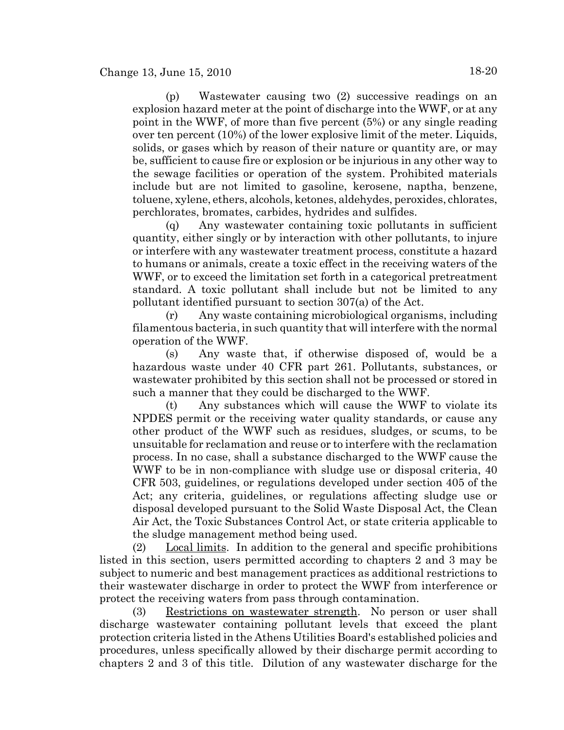(p) Wastewater causing two (2) successive readings on an explosion hazard meter at the point of discharge into the WWF, or at any point in the WWF, of more than five percent (5%) or any single reading over ten percent (10%) of the lower explosive limit of the meter. Liquids, solids, or gases which by reason of their nature or quantity are, or may be, sufficient to cause fire or explosion or be injurious in any other way to the sewage facilities or operation of the system. Prohibited materials include but are not limited to gasoline, kerosene, naptha, benzene, toluene, xylene, ethers, alcohols, ketones, aldehydes, peroxides, chlorates, perchlorates, bromates, carbides, hydrides and sulfides.

(q) Any wastewater containing toxic pollutants in sufficient quantity, either singly or by interaction with other pollutants, to injure or interfere with any wastewater treatment process, constitute a hazard to humans or animals, create a toxic effect in the receiving waters of the WWF, or to exceed the limitation set forth in a categorical pretreatment standard. A toxic pollutant shall include but not be limited to any pollutant identified pursuant to section 307(a) of the Act.

(r) Any waste containing microbiological organisms, including filamentous bacteria, in such quantity that will interfere with the normal operation of the WWF.

(s) Any waste that, if otherwise disposed of, would be a hazardous waste under 40 CFR part 261. Pollutants, substances, or wastewater prohibited by this section shall not be processed or stored in such a manner that they could be discharged to the WWF.

(t) Any substances which will cause the WWF to violate its NPDES permit or the receiving water quality standards, or cause any other product of the WWF such as residues, sludges, or scums, to be unsuitable for reclamation and reuse or to interfere with the reclamation process. In no case, shall a substance discharged to the WWF cause the WWF to be in non-compliance with sludge use or disposal criteria, 40 CFR 503, guidelines, or regulations developed under section 405 of the Act; any criteria, guidelines, or regulations affecting sludge use or disposal developed pursuant to the Solid Waste Disposal Act, the Clean Air Act, the Toxic Substances Control Act, or state criteria applicable to the sludge management method being used.

(2) Local limits. In addition to the general and specific prohibitions listed in this section, users permitted according to chapters 2 and 3 may be subject to numeric and best management practices as additional restrictions to their wastewater discharge in order to protect the WWF from interference or protect the receiving waters from pass through contamination.

(3) Restrictions on wastewater strength. No person or user shall discharge wastewater containing pollutant levels that exceed the plant protection criteria listed in the Athens Utilities Board's established policies and procedures, unless specifically allowed by their discharge permit according to chapters 2 and 3 of this title. Dilution of any wastewater discharge for the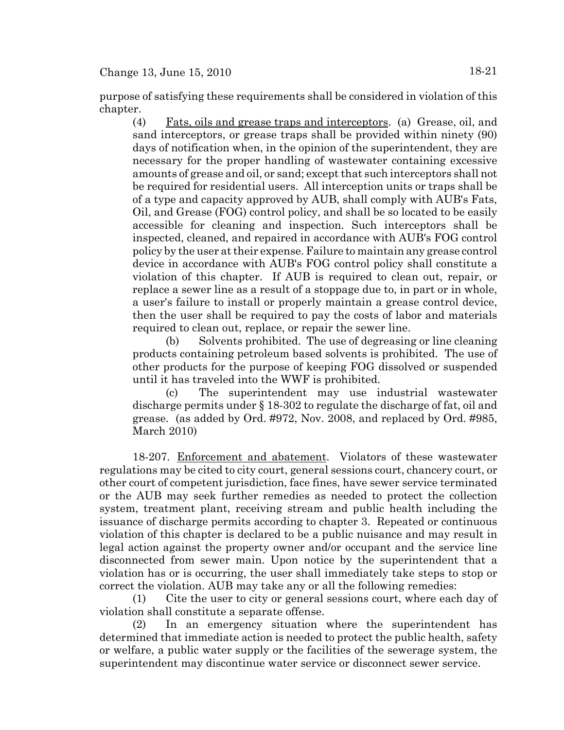purpose of satisfying these requirements shall be considered in violation of this chapter.

(4) Fats, oils and grease traps and interceptors. (a) Grease, oil, and sand interceptors, or grease traps shall be provided within ninety (90) days of notification when, in the opinion of the superintendent, they are necessary for the proper handling of wastewater containing excessive amounts of grease and oil, or sand; except that such interceptors shall not be required for residential users. All interception units or traps shall be of a type and capacity approved by AUB, shall comply with AUB's Fats, Oil, and Grease (FOG) control policy, and shall be so located to be easily accessible for cleaning and inspection. Such interceptors shall be inspected, cleaned, and repaired in accordance with AUB's FOG control policy by the user at their expense. Failure to maintain any grease control device in accordance with AUB's FOG control policy shall constitute a violation of this chapter. If AUB is required to clean out, repair, or replace a sewer line as a result of a stoppage due to, in part or in whole, a user's failure to install or properly maintain a grease control device, then the user shall be required to pay the costs of labor and materials required to clean out, replace, or repair the sewer line.

(b) Solvents prohibited. The use of degreasing or line cleaning products containing petroleum based solvents is prohibited. The use of other products for the purpose of keeping FOG dissolved or suspended until it has traveled into the WWF is prohibited.

(c) The superintendent may use industrial wastewater discharge permits under § 18-302 to regulate the discharge of fat, oil and grease. (as added by Ord. #972, Nov. 2008, and replaced by Ord. #985, March 2010)

18-207. Enforcement and abatement. Violators of these wastewater regulations may be cited to city court, general sessions court, chancery court, or other court of competent jurisdiction, face fines, have sewer service terminated or the AUB may seek further remedies as needed to protect the collection system, treatment plant, receiving stream and public health including the issuance of discharge permits according to chapter 3. Repeated or continuous violation of this chapter is declared to be a public nuisance and may result in legal action against the property owner and/or occupant and the service line disconnected from sewer main. Upon notice by the superintendent that a violation has or is occurring, the user shall immediately take steps to stop or correct the violation. AUB may take any or all the following remedies:

(1) Cite the user to city or general sessions court, where each day of violation shall constitute a separate offense.

(2) In an emergency situation where the superintendent has determined that immediate action is needed to protect the public health, safety or welfare, a public water supply or the facilities of the sewerage system, the superintendent may discontinue water service or disconnect sewer service.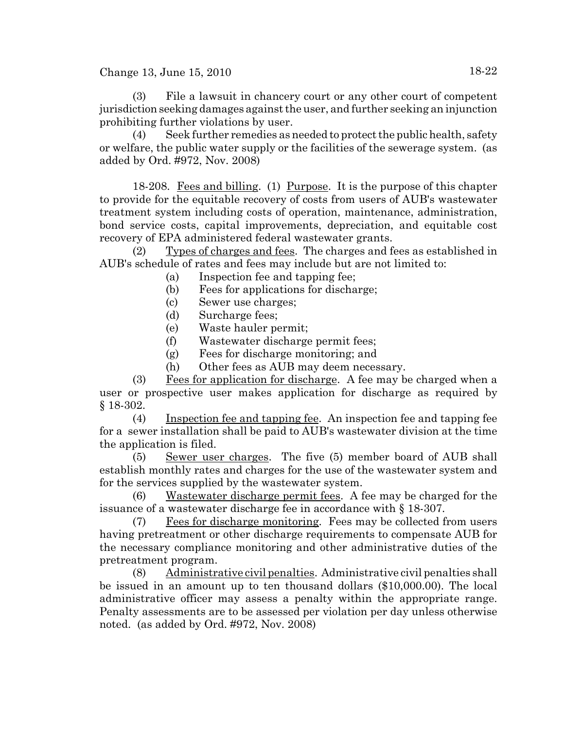(3) File a lawsuit in chancery court or any other court of competent jurisdiction seeking damages against the user, and further seeking an injunction prohibiting further violations by user.

(4) Seek further remedies as needed to protect the public health, safety or welfare, the public water supply or the facilities of the sewerage system. (as added by Ord. #972, Nov. 2008)

18-208. Fees and billing. (1) Purpose. It is the purpose of this chapter to provide for the equitable recovery of costs from users of AUB's wastewater treatment system including costs of operation, maintenance, administration, bond service costs, capital improvements, depreciation, and equitable cost recovery of EPA administered federal wastewater grants.

(2) Types of charges and fees. The charges and fees as established in AUB's schedule of rates and fees may include but are not limited to:

- (a) Inspection fee and tapping fee;
- (b) Fees for applications for discharge;
- (c) Sewer use charges;
- (d) Surcharge fees;
- (e) Waste hauler permit;
- (f) Wastewater discharge permit fees;
- (g) Fees for discharge monitoring; and
- (h) Other fees as AUB may deem necessary.

(3) Fees for application for discharge. A fee may be charged when a user or prospective user makes application for discharge as required by § 18-302.

(4) Inspection fee and tapping fee. An inspection fee and tapping fee for a sewer installation shall be paid to AUB's wastewater division at the time the application is filed.

(5) Sewer user charges. The five (5) member board of AUB shall establish monthly rates and charges for the use of the wastewater system and for the services supplied by the wastewater system.

(6) Wastewater discharge permit fees. A fee may be charged for the issuance of a wastewater discharge fee in accordance with § 18-307.

(7) Fees for discharge monitoring. Fees may be collected from users having pretreatment or other discharge requirements to compensate AUB for the necessary compliance monitoring and other administrative duties of the pretreatment program.

(8) Administrative civil penalties. Administrative civil penalties shall be issued in an amount up to ten thousand dollars (\$10,000.00). The local administrative officer may assess a penalty within the appropriate range. Penalty assessments are to be assessed per violation per day unless otherwise noted. (as added by Ord. #972, Nov. 2008)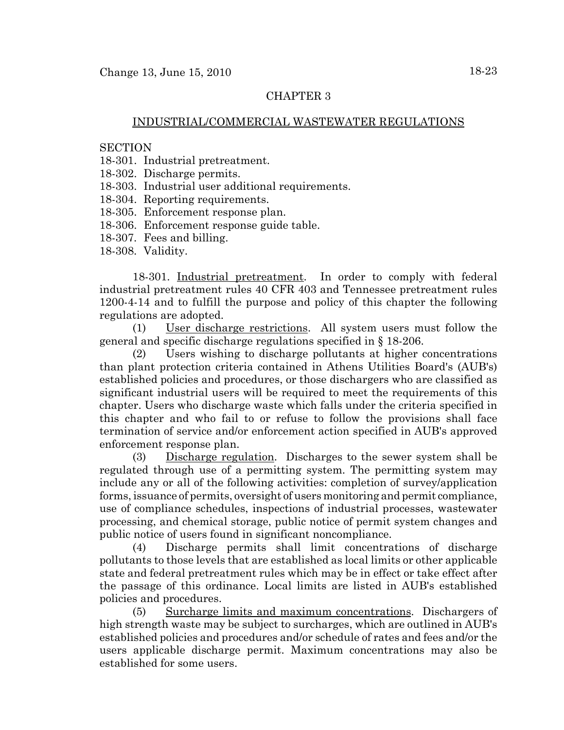## CHAPTER 3

## INDUSTRIAL/COMMERCIAL WASTEWATER REGULATIONS

#### **SECTION**

- 18-301. Industrial pretreatment.
- 18-302. Discharge permits.
- 18-303. Industrial user additional requirements.
- 18-304. Reporting requirements.
- 18-305. Enforcement response plan.
- 18-306. Enforcement response guide table.
- 18-307. Fees and billing.
- 18-308. Validity.

18-301. Industrial pretreatment. In order to comply with federal industrial pretreatment rules 40 CFR 403 and Tennessee pretreatment rules 1200-4-14 and to fulfill the purpose and policy of this chapter the following regulations are adopted.

(1) User discharge restrictions. All system users must follow the general and specific discharge regulations specified in § 18-206.

(2) Users wishing to discharge pollutants at higher concentrations than plant protection criteria contained in Athens Utilities Board's (AUB's) established policies and procedures, or those dischargers who are classified as significant industrial users will be required to meet the requirements of this chapter. Users who discharge waste which falls under the criteria specified in this chapter and who fail to or refuse to follow the provisions shall face termination of service and/or enforcement action specified in AUB's approved enforcement response plan.

(3) Discharge regulation. Discharges to the sewer system shall be regulated through use of a permitting system. The permitting system may include any or all of the following activities: completion of survey/application forms, issuance of permits, oversight of users monitoring and permit compliance, use of compliance schedules, inspections of industrial processes, wastewater processing, and chemical storage, public notice of permit system changes and public notice of users found in significant noncompliance.

(4) Discharge permits shall limit concentrations of discharge pollutants to those levels that are established as local limits or other applicable state and federal pretreatment rules which may be in effect or take effect after the passage of this ordinance. Local limits are listed in AUB's established policies and procedures.

(5) Surcharge limits and maximum concentrations. Dischargers of high strength waste may be subject to surcharges, which are outlined in AUB's established policies and procedures and/or schedule of rates and fees and/or the users applicable discharge permit. Maximum concentrations may also be established for some users.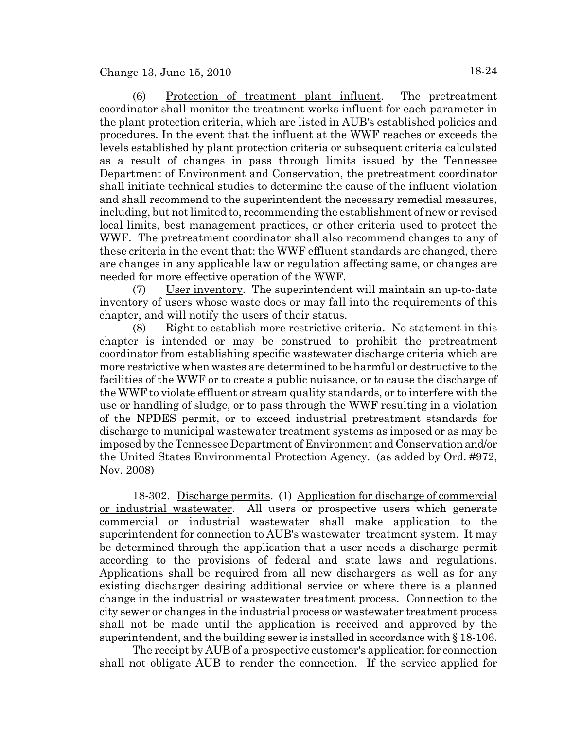(6) Protection of treatment plant influent. The pretreatment coordinator shall monitor the treatment works influent for each parameter in the plant protection criteria, which are listed in AUB's established policies and procedures. In the event that the influent at the WWF reaches or exceeds the levels established by plant protection criteria or subsequent criteria calculated as a result of changes in pass through limits issued by the Tennessee Department of Environment and Conservation, the pretreatment coordinator shall initiate technical studies to determine the cause of the influent violation and shall recommend to the superintendent the necessary remedial measures, including, but not limited to, recommending the establishment of new or revised local limits, best management practices, or other criteria used to protect the WWF. The pretreatment coordinator shall also recommend changes to any of these criteria in the event that: the WWF effluent standards are changed, there are changes in any applicable law or regulation affecting same, or changes are needed for more effective operation of the WWF.

(7) User inventory. The superintendent will maintain an up-to-date inventory of users whose waste does or may fall into the requirements of this chapter, and will notify the users of their status.

(8) Right to establish more restrictive criteria. No statement in this chapter is intended or may be construed to prohibit the pretreatment coordinator from establishing specific wastewater discharge criteria which are more restrictive when wastes are determined to be harmful or destructive to the facilities of the WWF or to create a public nuisance, or to cause the discharge of the WWF to violate effluent or stream quality standards, or to interfere with the use or handling of sludge, or to pass through the WWF resulting in a violation of the NPDES permit, or to exceed industrial pretreatment standards for discharge to municipal wastewater treatment systems as imposed or as may be imposed by the Tennessee Department of Environment and Conservation and/or the United States Environmental Protection Agency. (as added by Ord. #972, Nov. 2008)

18-302. Discharge permits. (1) Application for discharge of commercial or industrial wastewater. All users or prospective users which generate commercial or industrial wastewater shall make application to the superintendent for connection to AUB's wastewater treatment system. It may be determined through the application that a user needs a discharge permit according to the provisions of federal and state laws and regulations. Applications shall be required from all new dischargers as well as for any existing discharger desiring additional service or where there is a planned change in the industrial or wastewater treatment process. Connection to the city sewer or changes in the industrial process or wastewater treatment process shall not be made until the application is received and approved by the superintendent, and the building sewer is installed in accordance with § 18-106.

The receipt by AUB of a prospective customer's application for connection shall not obligate AUB to render the connection. If the service applied for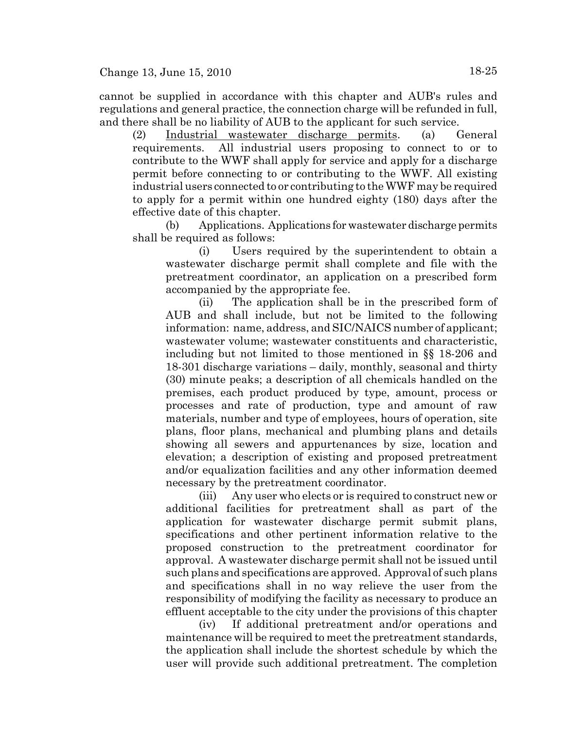cannot be supplied in accordance with this chapter and AUB's rules and regulations and general practice, the connection charge will be refunded in full, and there shall be no liability of AUB to the applicant for such service.

(2) Industrial wastewater discharge permits. (a) General requirements. All industrial users proposing to connect to or to contribute to the WWF shall apply for service and apply for a discharge permit before connecting to or contributing to the WWF. All existing industrial users connected to or contributing to the WWF may be required to apply for a permit within one hundred eighty (180) days after the effective date of this chapter.

(b) Applications. Applications for wastewater discharge permits shall be required as follows:

(i) Users required by the superintendent to obtain a wastewater discharge permit shall complete and file with the pretreatment coordinator, an application on a prescribed form accompanied by the appropriate fee.

(ii) The application shall be in the prescribed form of AUB and shall include, but not be limited to the following information: name, address, and SIC/NAICS number of applicant; wastewater volume; wastewater constituents and characteristic, including but not limited to those mentioned in §§ 18-206 and 18-301 discharge variations – daily, monthly, seasonal and thirty (30) minute peaks; a description of all chemicals handled on the premises, each product produced by type, amount, process or processes and rate of production, type and amount of raw materials, number and type of employees, hours of operation, site plans, floor plans, mechanical and plumbing plans and details showing all sewers and appurtenances by size, location and elevation; a description of existing and proposed pretreatment and/or equalization facilities and any other information deemed necessary by the pretreatment coordinator.

(iii) Any user who elects or is required to construct new or additional facilities for pretreatment shall as part of the application for wastewater discharge permit submit plans, specifications and other pertinent information relative to the proposed construction to the pretreatment coordinator for approval. A wastewater discharge permit shall not be issued until such plans and specifications are approved. Approval of such plans and specifications shall in no way relieve the user from the responsibility of modifying the facility as necessary to produce an effluent acceptable to the city under the provisions of this chapter

(iv) If additional pretreatment and/or operations and maintenance will be required to meet the pretreatment standards, the application shall include the shortest schedule by which the user will provide such additional pretreatment. The completion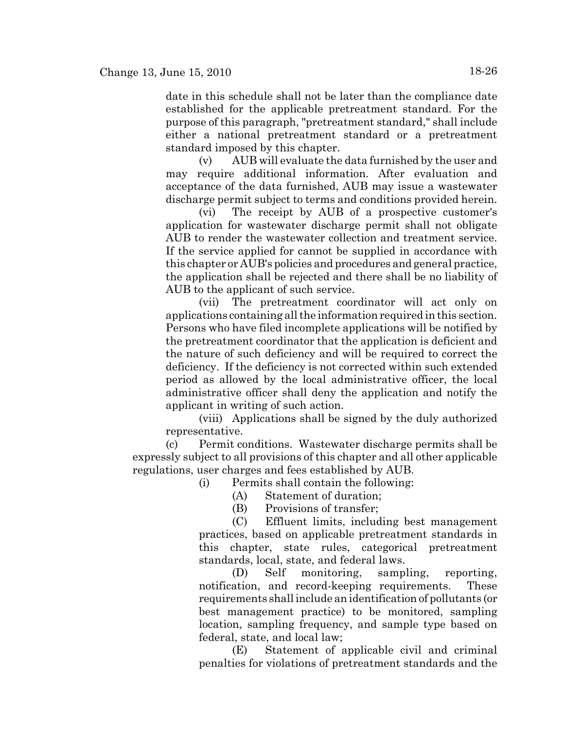date in this schedule shall not be later than the compliance date established for the applicable pretreatment standard. For the purpose of this paragraph, "pretreatment standard," shall include either a national pretreatment standard or a pretreatment standard imposed by this chapter.

(v) AUB will evaluate the data furnished by the user and may require additional information. After evaluation and acceptance of the data furnished, AUB may issue a wastewater discharge permit subject to terms and conditions provided herein.

(vi) The receipt by AUB of a prospective customer's application for wastewater discharge permit shall not obligate AUB to render the wastewater collection and treatment service. If the service applied for cannot be supplied in accordance with this chapter or AUB's policies and procedures and general practice, the application shall be rejected and there shall be no liability of AUB to the applicant of such service.

(vii) The pretreatment coordinator will act only on applications containing all the information required in this section. Persons who have filed incomplete applications will be notified by the pretreatment coordinator that the application is deficient and the nature of such deficiency and will be required to correct the deficiency. If the deficiency is not corrected within such extended period as allowed by the local administrative officer, the local administrative officer shall deny the application and notify the applicant in writing of such action.

(viii) Applications shall be signed by the duly authorized representative.

(c) Permit conditions. Wastewater discharge permits shall be expressly subject to all provisions of this chapter and all other applicable regulations, user charges and fees established by AUB.

(i) Permits shall contain the following:

(A) Statement of duration;

(B) Provisions of transfer;

(C) Effluent limits, including best management practices, based on applicable pretreatment standards in this chapter, state rules, categorical pretreatment standards, local, state, and federal laws.

(D) Self monitoring, sampling, reporting, notification, and record-keeping requirements. These requirements shall include an identification of pollutants (or best management practice) to be monitored, sampling location, sampling frequency, and sample type based on federal, state, and local law;

(E) Statement of applicable civil and criminal penalties for violations of pretreatment standards and the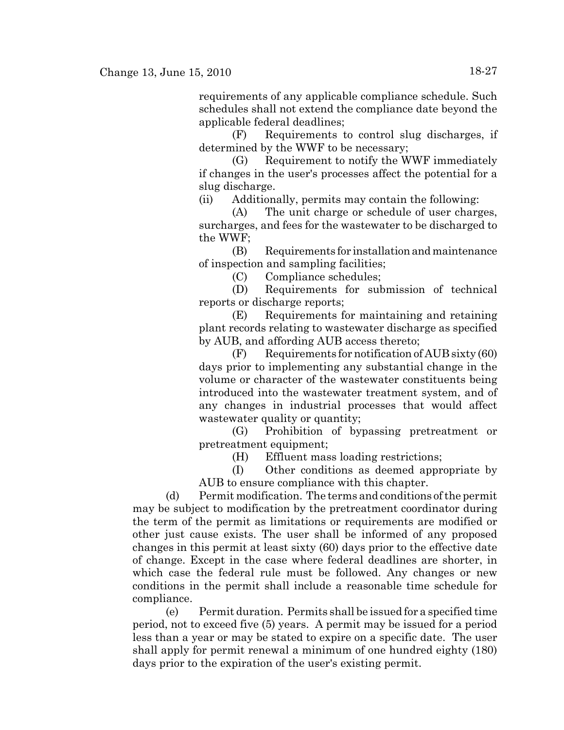requirements of any applicable compliance schedule. Such schedules shall not extend the compliance date beyond the applicable federal deadlines;

(F) Requirements to control slug discharges, if determined by the WWF to be necessary;

(G) Requirement to notify the WWF immediately if changes in the user's processes affect the potential for a slug discharge.

(ii) Additionally, permits may contain the following:

(A) The unit charge or schedule of user charges, surcharges, and fees for the wastewater to be discharged to the WWF;

(B) Requirements for installation and maintenance of inspection and sampling facilities;

(C) Compliance schedules;

(D) Requirements for submission of technical reports or discharge reports;

(E) Requirements for maintaining and retaining plant records relating to wastewater discharge as specified by AUB, and affording AUB access thereto;

 $(F)$  Requirements for notification of AUB sixty  $(60)$ days prior to implementing any substantial change in the volume or character of the wastewater constituents being introduced into the wastewater treatment system, and of any changes in industrial processes that would affect wastewater quality or quantity;

(G) Prohibition of bypassing pretreatment or pretreatment equipment;

(H) Effluent mass loading restrictions;

(I) Other conditions as deemed appropriate by AUB to ensure compliance with this chapter.

(d) Permit modification. The terms and conditions of the permit may be subject to modification by the pretreatment coordinator during the term of the permit as limitations or requirements are modified or other just cause exists. The user shall be informed of any proposed changes in this permit at least sixty (60) days prior to the effective date of change. Except in the case where federal deadlines are shorter, in which case the federal rule must be followed. Any changes or new conditions in the permit shall include a reasonable time schedule for compliance.

(e) Permit duration. Permits shall be issued for a specified time period, not to exceed five (5) years. A permit may be issued for a period less than a year or may be stated to expire on a specific date. The user shall apply for permit renewal a minimum of one hundred eighty (180) days prior to the expiration of the user's existing permit.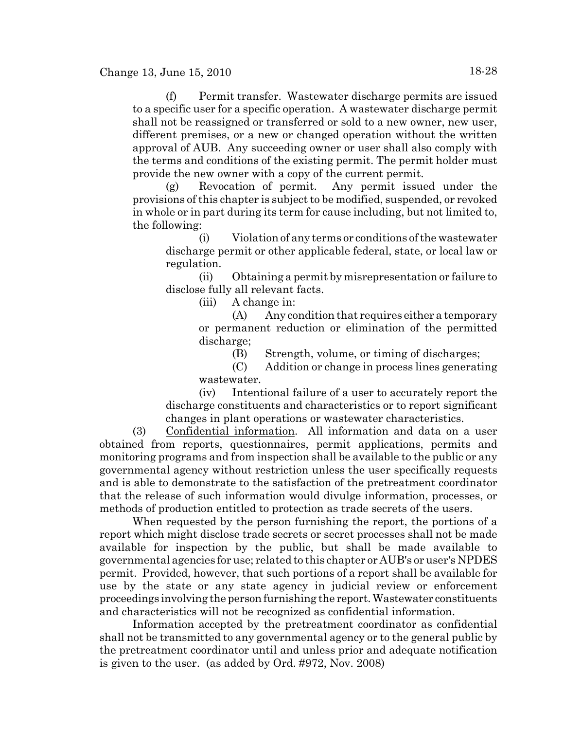(f) Permit transfer. Wastewater discharge permits are issued to a specific user for a specific operation. A wastewater discharge permit shall not be reassigned or transferred or sold to a new owner, new user, different premises, or a new or changed operation without the written approval of AUB. Any succeeding owner or user shall also comply with the terms and conditions of the existing permit. The permit holder must provide the new owner with a copy of the current permit.

(g) Revocation of permit. Any permit issued under the provisions of this chapter is subject to be modified, suspended, or revoked in whole or in part during its term for cause including, but not limited to, the following:

(i) Violation of any terms or conditions of the wastewater discharge permit or other applicable federal, state, or local law or regulation.

(ii) Obtaining a permit by misrepresentation or failure to disclose fully all relevant facts.

(iii) A change in:

(A) Any condition that requires either a temporary or permanent reduction or elimination of the permitted discharge;

(B) Strength, volume, or timing of discharges;

(C) Addition or change in process lines generating wastewater.

(iv) Intentional failure of a user to accurately report the discharge constituents and characteristics or to report significant changes in plant operations or wastewater characteristics.

(3) Confidential information. All information and data on a user obtained from reports, questionnaires, permit applications, permits and monitoring programs and from inspection shall be available to the public or any governmental agency without restriction unless the user specifically requests and is able to demonstrate to the satisfaction of the pretreatment coordinator that the release of such information would divulge information, processes, or methods of production entitled to protection as trade secrets of the users.

When requested by the person furnishing the report, the portions of a report which might disclose trade secrets or secret processes shall not be made available for inspection by the public, but shall be made available to governmental agencies for use; related to this chapter or AUB's or user's NPDES permit. Provided, however, that such portions of a report shall be available for use by the state or any state agency in judicial review or enforcement proceedings involving the person furnishing the report. Wastewater constituents and characteristics will not be recognized as confidential information.

Information accepted by the pretreatment coordinator as confidential shall not be transmitted to any governmental agency or to the general public by the pretreatment coordinator until and unless prior and adequate notification is given to the user. (as added by Ord. #972, Nov. 2008)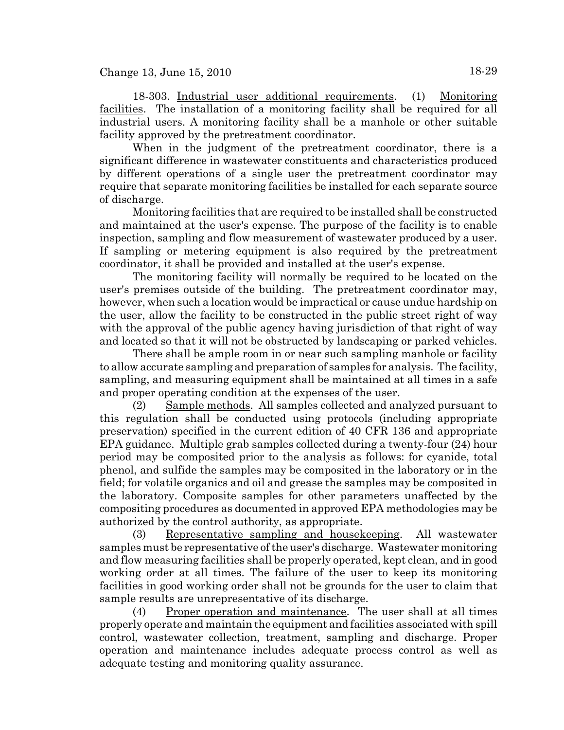18-303. Industrial user additional requirements. (1) Monitoring facilities. The installation of a monitoring facility shall be required for all industrial users. A monitoring facility shall be a manhole or other suitable facility approved by the pretreatment coordinator.

When in the judgment of the pretreatment coordinator, there is a significant difference in wastewater constituents and characteristics produced by different operations of a single user the pretreatment coordinator may require that separate monitoring facilities be installed for each separate source of discharge.

Monitoring facilities that are required to be installed shall be constructed and maintained at the user's expense. The purpose of the facility is to enable inspection, sampling and flow measurement of wastewater produced by a user. If sampling or metering equipment is also required by the pretreatment coordinator, it shall be provided and installed at the user's expense.

The monitoring facility will normally be required to be located on the user's premises outside of the building. The pretreatment coordinator may, however, when such a location would be impractical or cause undue hardship on the user, allow the facility to be constructed in the public street right of way with the approval of the public agency having jurisdiction of that right of way and located so that it will not be obstructed by landscaping or parked vehicles.

There shall be ample room in or near such sampling manhole or facility to allow accurate sampling and preparation of samples for analysis. The facility, sampling, and measuring equipment shall be maintained at all times in a safe and proper operating condition at the expenses of the user.

(2) Sample methods. All samples collected and analyzed pursuant to this regulation shall be conducted using protocols (including appropriate preservation) specified in the current edition of 40 CFR 136 and appropriate EPA guidance. Multiple grab samples collected during a twenty-four (24) hour period may be composited prior to the analysis as follows: for cyanide, total phenol, and sulfide the samples may be composited in the laboratory or in the field; for volatile organics and oil and grease the samples may be composited in the laboratory. Composite samples for other parameters unaffected by the compositing procedures as documented in approved EPA methodologies may be authorized by the control authority, as appropriate.

(3) Representative sampling and housekeeping. All wastewater samples must be representative of the user's discharge. Wastewater monitoring and flow measuring facilities shall be properly operated, kept clean, and in good working order at all times. The failure of the user to keep its monitoring facilities in good working order shall not be grounds for the user to claim that sample results are unrepresentative of its discharge.

(4) Proper operation and maintenance. The user shall at all times properly operate and maintain the equipment and facilities associated with spill control, wastewater collection, treatment, sampling and discharge. Proper operation and maintenance includes adequate process control as well as adequate testing and monitoring quality assurance.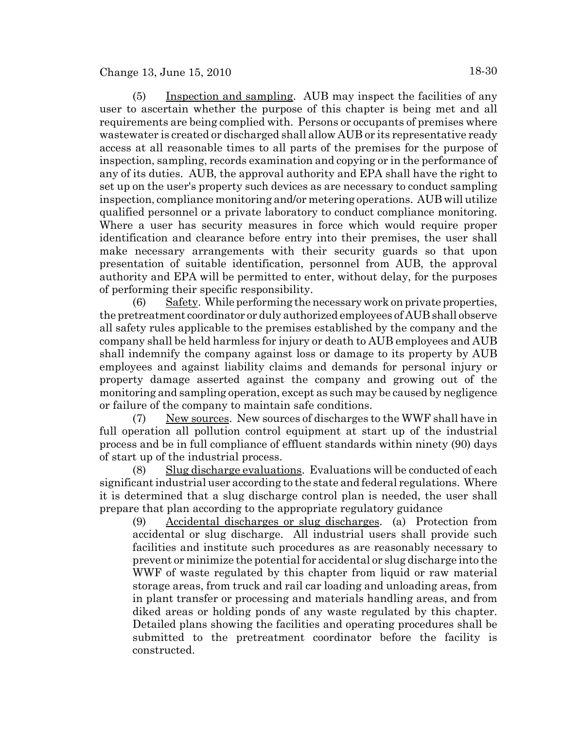(5) Inspection and sampling. AUB may inspect the facilities of any user to ascertain whether the purpose of this chapter is being met and all requirements are being complied with. Persons or occupants of premises where wastewater is created or discharged shall allow AUB or its representative ready access at all reasonable times to all parts of the premises for the purpose of inspection, sampling, records examination and copying or in the performance of any of its duties. AUB, the approval authority and EPA shall have the right to set up on the user's property such devices as are necessary to conduct sampling inspection, compliance monitoring and/or metering operations. AUB will utilize qualified personnel or a private laboratory to conduct compliance monitoring. Where a user has security measures in force which would require proper identification and clearance before entry into their premises, the user shall make necessary arrangements with their security guards so that upon presentation of suitable identification, personnel from AUB, the approval authority and EPA will be permitted to enter, without delay, for the purposes of performing their specific responsibility.

(6) Safety. While performing the necessary work on private properties, the pretreatment coordinator or duly authorized employees of AUB shall observe all safety rules applicable to the premises established by the company and the company shall be held harmless for injury or death to AUB employees and AUB shall indemnify the company against loss or damage to its property by AUB employees and against liability claims and demands for personal injury or property damage asserted against the company and growing out of the monitoring and sampling operation, except as such may be caused by negligence or failure of the company to maintain safe conditions.

(7) New sources. New sources of discharges to the WWF shall have in full operation all pollution control equipment at start up of the industrial process and be in full compliance of effluent standards within ninety (90) days of start up of the industrial process.

(8) Slug discharge evaluations. Evaluations will be conducted of each significant industrial user according to the state and federal regulations. Where it is determined that a slug discharge control plan is needed, the user shall prepare that plan according to the appropriate regulatory guidance

(9) Accidental discharges or slug discharges. (a) Protection from accidental or slug discharge. All industrial users shall provide such facilities and institute such procedures as are reasonably necessary to prevent or minimize the potential for accidental or slug discharge into the WWF of waste regulated by this chapter from liquid or raw material storage areas, from truck and rail car loading and unloading areas, from in plant transfer or processing and materials handling areas, and from diked areas or holding ponds of any waste regulated by this chapter. Detailed plans showing the facilities and operating procedures shall be submitted to the pretreatment coordinator before the facility is constructed.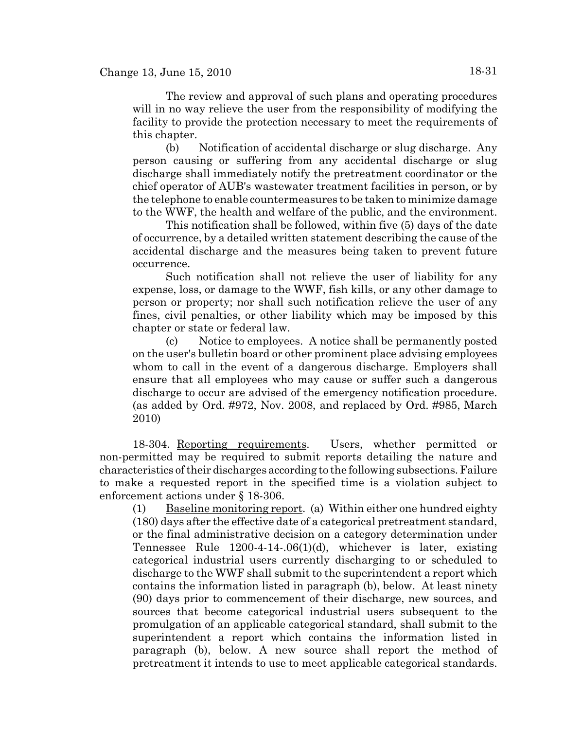The review and approval of such plans and operating procedures will in no way relieve the user from the responsibility of modifying the facility to provide the protection necessary to meet the requirements of this chapter.

(b) Notification of accidental discharge or slug discharge. Any person causing or suffering from any accidental discharge or slug discharge shall immediately notify the pretreatment coordinator or the chief operator of AUB's wastewater treatment facilities in person, or by the telephone to enable countermeasures to be taken to minimize damage to the WWF, the health and welfare of the public, and the environment.

This notification shall be followed, within five (5) days of the date of occurrence, by a detailed written statement describing the cause of the accidental discharge and the measures being taken to prevent future occurrence.

Such notification shall not relieve the user of liability for any expense, loss, or damage to the WWF, fish kills, or any other damage to person or property; nor shall such notification relieve the user of any fines, civil penalties, or other liability which may be imposed by this chapter or state or federal law.

(c) Notice to employees. A notice shall be permanently posted on the user's bulletin board or other prominent place advising employees whom to call in the event of a dangerous discharge. Employers shall ensure that all employees who may cause or suffer such a dangerous discharge to occur are advised of the emergency notification procedure. (as added by Ord. #972, Nov. 2008, and replaced by Ord. #985, March 2010)

18-304. Reporting requirements. Users, whether permitted or non-permitted may be required to submit reports detailing the nature and characteristics of their discharges according to the following subsections. Failure to make a requested report in the specified time is a violation subject to enforcement actions under § 18-306.

(1) Baseline monitoring report. (a) Within either one hundred eighty (180) days after the effective date of a categorical pretreatment standard, or the final administrative decision on a category determination under Tennessee Rule 1200-4-14-.06(1)(d), whichever is later, existing categorical industrial users currently discharging to or scheduled to discharge to the WWF shall submit to the superintendent a report which contains the information listed in paragraph (b), below. At least ninety (90) days prior to commencement of their discharge, new sources, and sources that become categorical industrial users subsequent to the promulgation of an applicable categorical standard, shall submit to the superintendent a report which contains the information listed in paragraph (b), below. A new source shall report the method of pretreatment it intends to use to meet applicable categorical standards.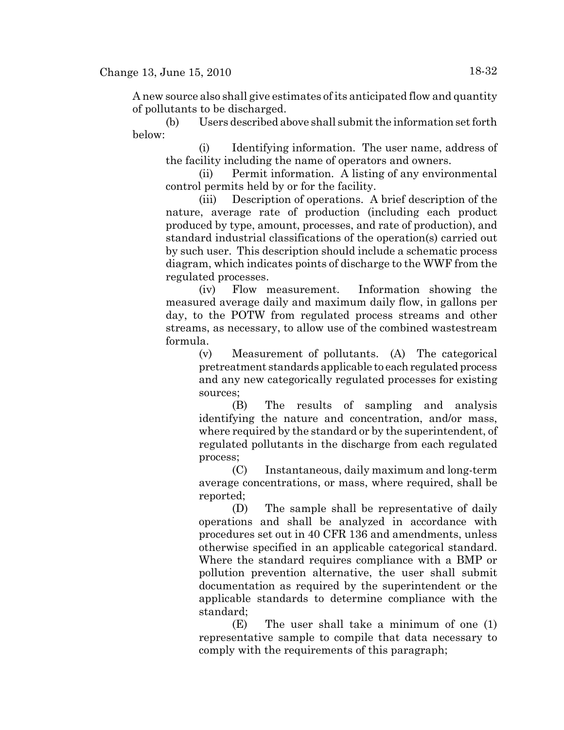A new source also shall give estimates of its anticipated flow and quantity of pollutants to be discharged.

(b) Users described above shall submit the information set forth below:

(i) Identifying information. The user name, address of the facility including the name of operators and owners.

(ii) Permit information. A listing of any environmental control permits held by or for the facility.

(iii) Description of operations. A brief description of the nature, average rate of production (including each product produced by type, amount, processes, and rate of production), and standard industrial classifications of the operation(s) carried out by such user. This description should include a schematic process diagram, which indicates points of discharge to the WWF from the regulated processes.

(iv) Flow measurement. Information showing the measured average daily and maximum daily flow, in gallons per day, to the POTW from regulated process streams and other streams, as necessary, to allow use of the combined wastestream formula.

(v) Measurement of pollutants. (A) The categorical pretreatment standards applicable to each regulated process and any new categorically regulated processes for existing sources;

(B) The results of sampling and analysis identifying the nature and concentration, and/or mass, where required by the standard or by the superintendent, of regulated pollutants in the discharge from each regulated process;

(C) Instantaneous, daily maximum and long-term average concentrations, or mass, where required, shall be reported;

(D) The sample shall be representative of daily operations and shall be analyzed in accordance with procedures set out in 40 CFR 136 and amendments, unless otherwise specified in an applicable categorical standard. Where the standard requires compliance with a BMP or pollution prevention alternative, the user shall submit documentation as required by the superintendent or the applicable standards to determine compliance with the standard;

(E) The user shall take a minimum of one (1) representative sample to compile that data necessary to comply with the requirements of this paragraph;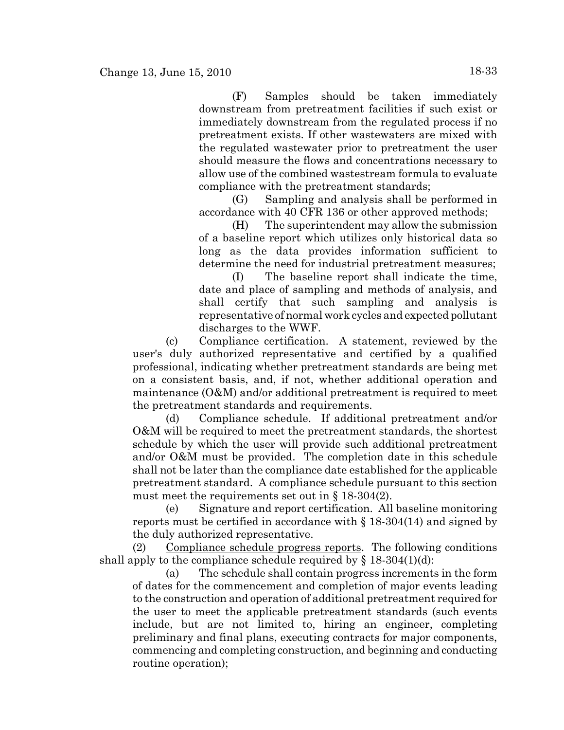(F) Samples should be taken immediately downstream from pretreatment facilities if such exist or immediately downstream from the regulated process if no pretreatment exists. If other wastewaters are mixed with the regulated wastewater prior to pretreatment the user should measure the flows and concentrations necessary to allow use of the combined wastestream formula to evaluate compliance with the pretreatment standards;

(G) Sampling and analysis shall be performed in accordance with 40 CFR 136 or other approved methods;

(H) The superintendent may allow the submission of a baseline report which utilizes only historical data so long as the data provides information sufficient to determine the need for industrial pretreatment measures;

(I) The baseline report shall indicate the time, date and place of sampling and methods of analysis, and shall certify that such sampling and analysis is representative of normal work cycles and expected pollutant discharges to the WWF.

(c) Compliance certification. A statement, reviewed by the user's duly authorized representative and certified by a qualified professional, indicating whether pretreatment standards are being met on a consistent basis, and, if not, whether additional operation and maintenance (O&M) and/or additional pretreatment is required to meet the pretreatment standards and requirements.

(d) Compliance schedule. If additional pretreatment and/or O&M will be required to meet the pretreatment standards, the shortest schedule by which the user will provide such additional pretreatment and/or O&M must be provided. The completion date in this schedule shall not be later than the compliance date established for the applicable pretreatment standard. A compliance schedule pursuant to this section must meet the requirements set out in  $\S 18-304(2)$ .

(e) Signature and report certification. All baseline monitoring reports must be certified in accordance with  $\S 18-304(14)$  and signed by the duly authorized representative.

(2) Compliance schedule progress reports. The following conditions shall apply to the compliance schedule required by  $\S$  18-304(1)(d):

(a) The schedule shall contain progress increments in the form of dates for the commencement and completion of major events leading to the construction and operation of additional pretreatment required for the user to meet the applicable pretreatment standards (such events include, but are not limited to, hiring an engineer, completing preliminary and final plans, executing contracts for major components, commencing and completing construction, and beginning and conducting routine operation);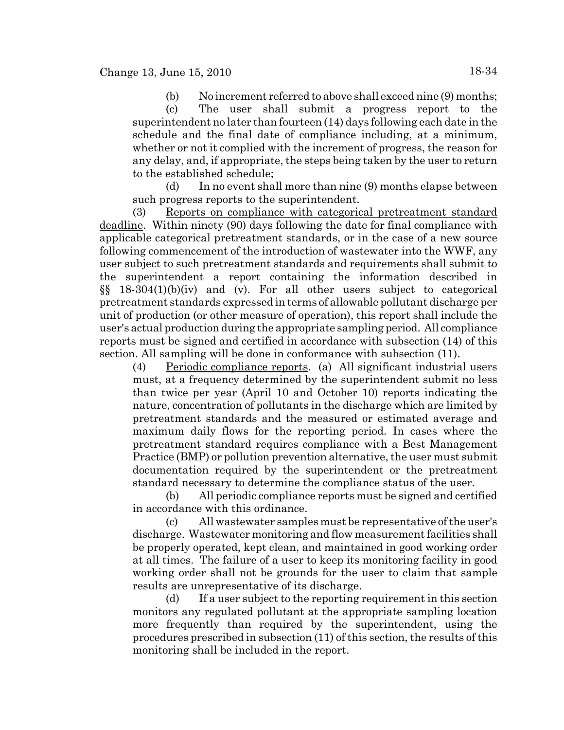(b) No increment referred to above shall exceed nine (9) months; (c) The user shall submit a progress report to the superintendent no later than fourteen (14) days following each date in the schedule and the final date of compliance including, at a minimum, whether or not it complied with the increment of progress, the reason for any delay, and, if appropriate, the steps being taken by the user to return to the established schedule;

(d) In no event shall more than nine (9) months elapse between such progress reports to the superintendent.

(3) Reports on compliance with categorical pretreatment standard deadline. Within ninety (90) days following the date for final compliance with applicable categorical pretreatment standards, or in the case of a new source following commencement of the introduction of wastewater into the WWF, any user subject to such pretreatment standards and requirements shall submit to the superintendent a report containing the information described in §§ 18-304(1)(b)(iv) and (v). For all other users subject to categorical pretreatment standards expressed in terms of allowable pollutant discharge per unit of production (or other measure of operation), this report shall include the user's actual production during the appropriate sampling period. All compliance reports must be signed and certified in accordance with subsection (14) of this section. All sampling will be done in conformance with subsection (11).

(4) Periodic compliance reports. (a) All significant industrial users must, at a frequency determined by the superintendent submit no less than twice per year (April 10 and October 10) reports indicating the nature, concentration of pollutants in the discharge which are limited by pretreatment standards and the measured or estimated average and maximum daily flows for the reporting period. In cases where the pretreatment standard requires compliance with a Best Management Practice (BMP) or pollution prevention alternative, the user must submit documentation required by the superintendent or the pretreatment standard necessary to determine the compliance status of the user.

(b) All periodic compliance reports must be signed and certified in accordance with this ordinance.

(c) All wastewater samples must be representative of the user's discharge. Wastewater monitoring and flow measurement facilities shall be properly operated, kept clean, and maintained in good working order at all times. The failure of a user to keep its monitoring facility in good working order shall not be grounds for the user to claim that sample results are unrepresentative of its discharge.

(d) If a user subject to the reporting requirement in this section monitors any regulated pollutant at the appropriate sampling location more frequently than required by the superintendent, using the procedures prescribed in subsection (11) of this section, the results of this monitoring shall be included in the report.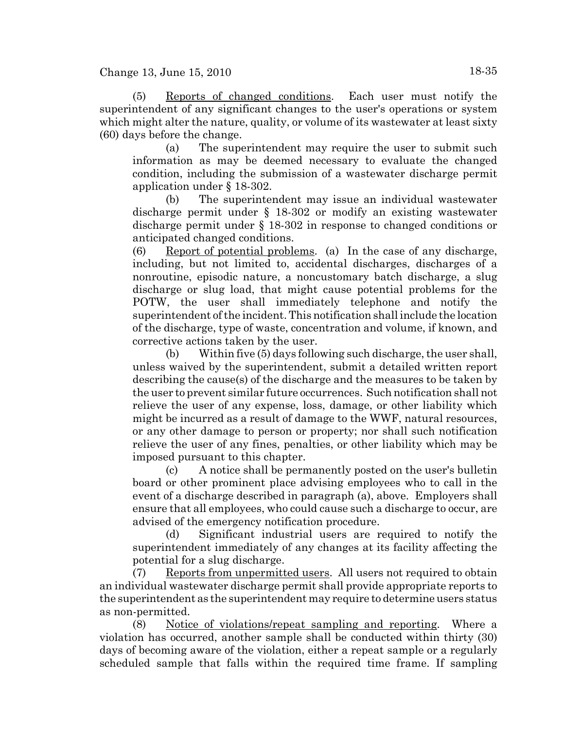(5) Reports of changed conditions. Each user must notify the superintendent of any significant changes to the user's operations or system which might alter the nature, quality, or volume of its wastewater at least sixty (60) days before the change.

(a) The superintendent may require the user to submit such information as may be deemed necessary to evaluate the changed condition, including the submission of a wastewater discharge permit application under § 18-302.

(b) The superintendent may issue an individual wastewater discharge permit under § 18-302 or modify an existing wastewater discharge permit under § 18-302 in response to changed conditions or anticipated changed conditions.

(6) Report of potential problems. (a) In the case of any discharge, including, but not limited to, accidental discharges, discharges of a nonroutine, episodic nature, a noncustomary batch discharge, a slug discharge or slug load, that might cause potential problems for the POTW, the user shall immediately telephone and notify the superintendent of the incident. This notification shall include the location of the discharge, type of waste, concentration and volume, if known, and corrective actions taken by the user.

(b) Within five (5) days following such discharge, the user shall, unless waived by the superintendent, submit a detailed written report describing the cause(s) of the discharge and the measures to be taken by the user to prevent similar future occurrences. Such notification shall not relieve the user of any expense, loss, damage, or other liability which might be incurred as a result of damage to the WWF, natural resources, or any other damage to person or property; nor shall such notification relieve the user of any fines, penalties, or other liability which may be imposed pursuant to this chapter.

(c) A notice shall be permanently posted on the user's bulletin board or other prominent place advising employees who to call in the event of a discharge described in paragraph (a), above. Employers shall ensure that all employees, who could cause such a discharge to occur, are advised of the emergency notification procedure.

(d) Significant industrial users are required to notify the superintendent immediately of any changes at its facility affecting the potential for a slug discharge.

(7) Reports from unpermitted users. All users not required to obtain an individual wastewater discharge permit shall provide appropriate reports to the superintendent as the superintendent may require to determine users status as non-permitted.

(8) Notice of violations/repeat sampling and reporting. Where a violation has occurred, another sample shall be conducted within thirty (30) days of becoming aware of the violation, either a repeat sample or a regularly scheduled sample that falls within the required time frame. If sampling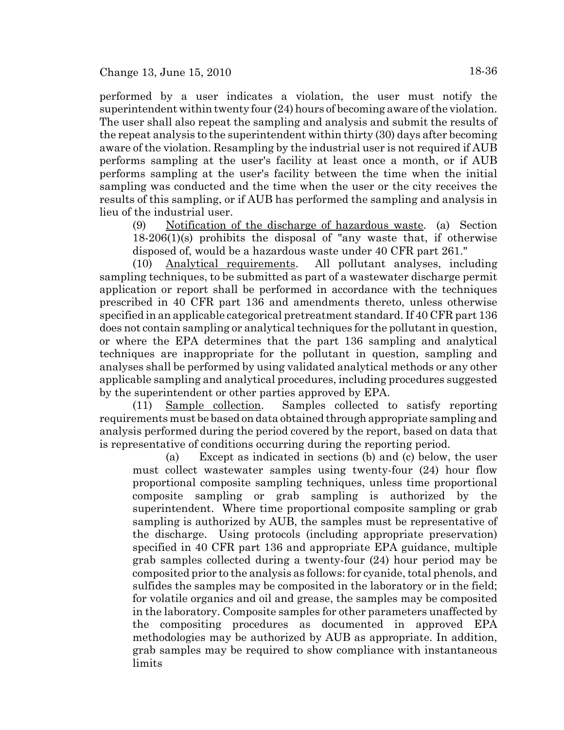performed by a user indicates a violation, the user must notify the superintendent within twenty four (24) hours of becoming aware of the violation. The user shall also repeat the sampling and analysis and submit the results of the repeat analysis to the superintendent within thirty (30) days after becoming aware of the violation. Resampling by the industrial user is not required if AUB performs sampling at the user's facility at least once a month, or if AUB performs sampling at the user's facility between the time when the initial sampling was conducted and the time when the user or the city receives the results of this sampling, or if AUB has performed the sampling and analysis in lieu of the industrial user.

(9) Notification of the discharge of hazardous waste. (a) Section 18-206(1)(s) prohibits the disposal of "any waste that, if otherwise disposed of, would be a hazardous waste under 40 CFR part 261."

(10) Analytical requirements. All pollutant analyses, including sampling techniques, to be submitted as part of a wastewater discharge permit application or report shall be performed in accordance with the techniques prescribed in 40 CFR part 136 and amendments thereto, unless otherwise specified in an applicable categorical pretreatment standard. If 40 CFR part 136 does not contain sampling or analytical techniques for the pollutant in question, or where the EPA determines that the part 136 sampling and analytical techniques are inappropriate for the pollutant in question, sampling and analyses shall be performed by using validated analytical methods or any other applicable sampling and analytical procedures, including procedures suggested by the superintendent or other parties approved by EPA.

(11) Sample collection. Samples collected to satisfy reporting requirements must be based on data obtained through appropriate sampling and analysis performed during the period covered by the report, based on data that is representative of conditions occurring during the reporting period.

(a) Except as indicated in sections (b) and (c) below, the user must collect wastewater samples using twenty-four (24) hour flow proportional composite sampling techniques, unless time proportional composite sampling or grab sampling is authorized by the superintendent. Where time proportional composite sampling or grab sampling is authorized by AUB, the samples must be representative of the discharge. Using protocols (including appropriate preservation) specified in 40 CFR part 136 and appropriate EPA guidance, multiple grab samples collected during a twenty-four (24) hour period may be composited prior to the analysis as follows: for cyanide, total phenols, and sulfides the samples may be composited in the laboratory or in the field; for volatile organics and oil and grease, the samples may be composited in the laboratory. Composite samples for other parameters unaffected by the compositing procedures as documented in approved EPA methodologies may be authorized by AUB as appropriate. In addition, grab samples may be required to show compliance with instantaneous limits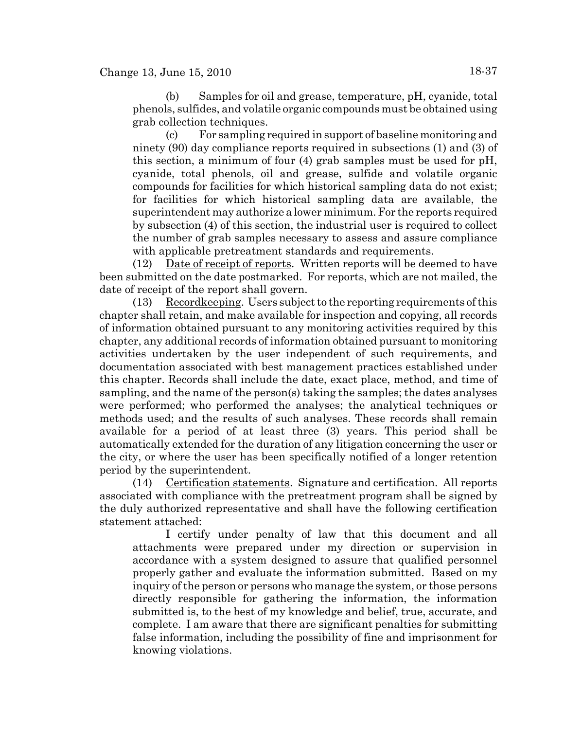(b) Samples for oil and grease, temperature, pH, cyanide, total phenols, sulfides, and volatile organic compounds must be obtained using grab collection techniques.

(c) For sampling required in support of baseline monitoring and ninety (90) day compliance reports required in subsections (1) and (3) of this section, a minimum of four (4) grab samples must be used for pH, cyanide, total phenols, oil and grease, sulfide and volatile organic compounds for facilities for which historical sampling data do not exist; for facilities for which historical sampling data are available, the superintendent may authorize a lower minimum. For the reports required by subsection (4) of this section, the industrial user is required to collect the number of grab samples necessary to assess and assure compliance with applicable pretreatment standards and requirements.

(12) Date of receipt of reports. Written reports will be deemed to have been submitted on the date postmarked. For reports, which are not mailed, the date of receipt of the report shall govern.

(13) Recordkeeping. Users subject to the reporting requirements of this chapter shall retain, and make available for inspection and copying, all records of information obtained pursuant to any monitoring activities required by this chapter, any additional records of information obtained pursuant to monitoring activities undertaken by the user independent of such requirements, and documentation associated with best management practices established under this chapter. Records shall include the date, exact place, method, and time of sampling, and the name of the person(s) taking the samples; the dates analyses were performed; who performed the analyses; the analytical techniques or methods used; and the results of such analyses. These records shall remain available for a period of at least three (3) years. This period shall be automatically extended for the duration of any litigation concerning the user or the city, or where the user has been specifically notified of a longer retention period by the superintendent.

(14) Certification statements. Signature and certification. All reports associated with compliance with the pretreatment program shall be signed by the duly authorized representative and shall have the following certification statement attached:

I certify under penalty of law that this document and all attachments were prepared under my direction or supervision in accordance with a system designed to assure that qualified personnel properly gather and evaluate the information submitted. Based on my inquiry of the person or persons who manage the system, or those persons directly responsible for gathering the information, the information submitted is, to the best of my knowledge and belief, true, accurate, and complete. I am aware that there are significant penalties for submitting false information, including the possibility of fine and imprisonment for knowing violations.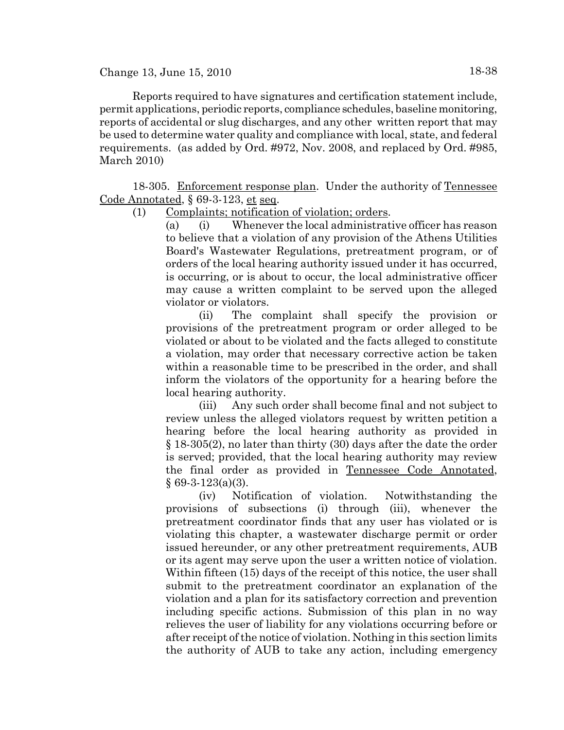Reports required to have signatures and certification statement include, permit applications, periodic reports, compliance schedules, baseline monitoring, reports of accidental or slug discharges, and any other written report that may be used to determine water quality and compliance with local, state, and federal requirements. (as added by Ord. #972, Nov. 2008, and replaced by Ord. #985, March 2010)

18-305. Enforcement response plan. Under the authority of Tennessee Code Annotated, § 69-3-123, et seq.

(1) Complaints; notification of violation; orders.

(a) (i) Whenever the local administrative officer has reason to believe that a violation of any provision of the Athens Utilities Board's Wastewater Regulations, pretreatment program, or of orders of the local hearing authority issued under it has occurred, is occurring, or is about to occur, the local administrative officer may cause a written complaint to be served upon the alleged violator or violators.

(ii) The complaint shall specify the provision or provisions of the pretreatment program or order alleged to be violated or about to be violated and the facts alleged to constitute a violation, may order that necessary corrective action be taken within a reasonable time to be prescribed in the order, and shall inform the violators of the opportunity for a hearing before the local hearing authority.

(iii) Any such order shall become final and not subject to review unless the alleged violators request by written petition a hearing before the local hearing authority as provided in § 18-305(2), no later than thirty (30) days after the date the order is served; provided, that the local hearing authority may review the final order as provided in Tennessee Code Annotated, § 69-3-123(a)(3).

(iv) Notification of violation. Notwithstanding the provisions of subsections (i) through (iii), whenever the pretreatment coordinator finds that any user has violated or is violating this chapter, a wastewater discharge permit or order issued hereunder, or any other pretreatment requirements, AUB or its agent may serve upon the user a written notice of violation. Within fifteen (15) days of the receipt of this notice, the user shall submit to the pretreatment coordinator an explanation of the violation and a plan for its satisfactory correction and prevention including specific actions. Submission of this plan in no way relieves the user of liability for any violations occurring before or after receipt of the notice of violation. Nothing in this section limits the authority of AUB to take any action, including emergency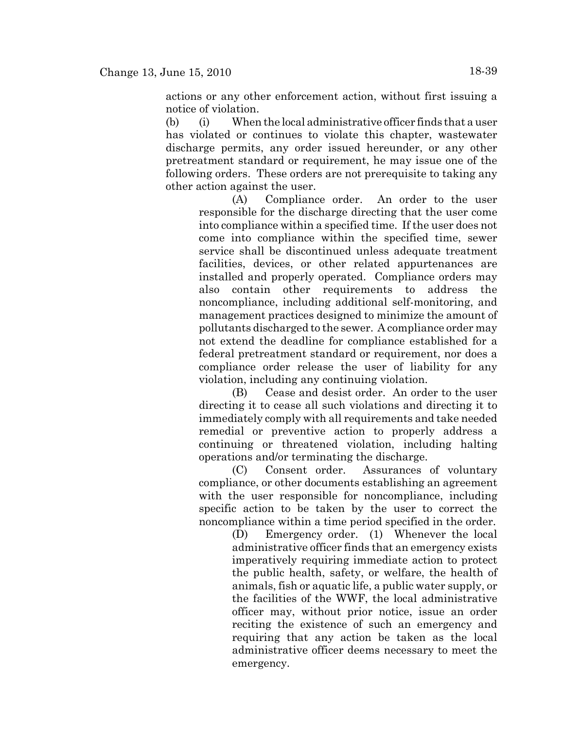actions or any other enforcement action, without first issuing a notice of violation.

(b) (i) When the local administrative officer finds that a user has violated or continues to violate this chapter, wastewater discharge permits, any order issued hereunder, or any other pretreatment standard or requirement, he may issue one of the following orders. These orders are not prerequisite to taking any other action against the user.

(A) Compliance order. An order to the user responsible for the discharge directing that the user come into compliance within a specified time. If the user does not come into compliance within the specified time, sewer service shall be discontinued unless adequate treatment facilities, devices, or other related appurtenances are installed and properly operated. Compliance orders may also contain other requirements to address the noncompliance, including additional self-monitoring, and management practices designed to minimize the amount of pollutants discharged to the sewer. A compliance order may not extend the deadline for compliance established for a federal pretreatment standard or requirement, nor does a compliance order release the user of liability for any violation, including any continuing violation.

(B) Cease and desist order. An order to the user directing it to cease all such violations and directing it to immediately comply with all requirements and take needed remedial or preventive action to properly address a continuing or threatened violation, including halting operations and/or terminating the discharge.

(C) Consent order. Assurances of voluntary compliance, or other documents establishing an agreement with the user responsible for noncompliance, including specific action to be taken by the user to correct the noncompliance within a time period specified in the order.

(D) Emergency order. (1) Whenever the local administrative officer finds that an emergency exists imperatively requiring immediate action to protect the public health, safety, or welfare, the health of animals, fish or aquatic life, a public water supply, or the facilities of the WWF, the local administrative officer may, without prior notice, issue an order reciting the existence of such an emergency and requiring that any action be taken as the local administrative officer deems necessary to meet the emergency.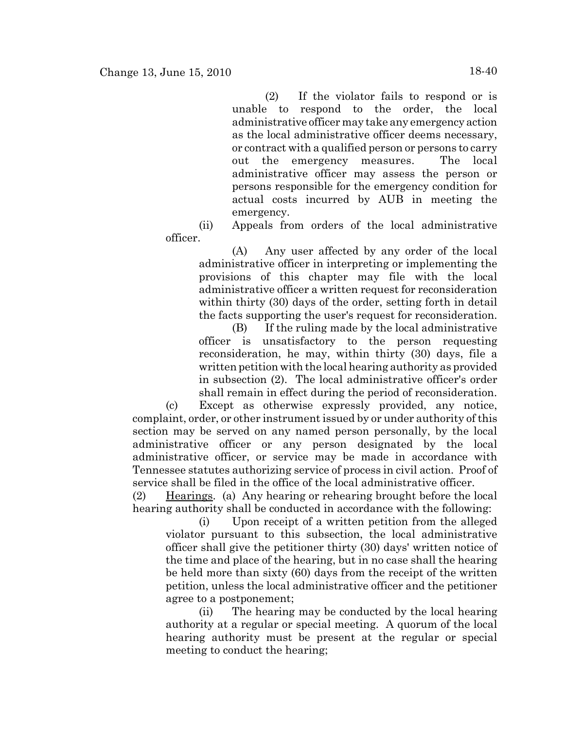(2) If the violator fails to respond or is unable to respond to the order, the local administrative officer may take any emergency action as the local administrative officer deems necessary, or contract with a qualified person or persons to carry out the emergency measures. The local administrative officer may assess the person or persons responsible for the emergency condition for actual costs incurred by AUB in meeting the emergency.

(ii) Appeals from orders of the local administrative officer.

(A) Any user affected by any order of the local administrative officer in interpreting or implementing the provisions of this chapter may file with the local administrative officer a written request for reconsideration within thirty (30) days of the order, setting forth in detail the facts supporting the user's request for reconsideration.

(B) If the ruling made by the local administrative officer is unsatisfactory to the person requesting reconsideration, he may, within thirty (30) days, file a written petition with the local hearing authority as provided in subsection (2). The local administrative officer's order shall remain in effect during the period of reconsideration.

(c) Except as otherwise expressly provided, any notice, complaint, order, or other instrument issued by or under authority of this section may be served on any named person personally, by the local administrative officer or any person designated by the local administrative officer, or service may be made in accordance with Tennessee statutes authorizing service of process in civil action. Proof of service shall be filed in the office of the local administrative officer.

(2) Hearings. (a) Any hearing or rehearing brought before the local hearing authority shall be conducted in accordance with the following:

(i) Upon receipt of a written petition from the alleged violator pursuant to this subsection, the local administrative officer shall give the petitioner thirty (30) days' written notice of the time and place of the hearing, but in no case shall the hearing be held more than sixty (60) days from the receipt of the written petition, unless the local administrative officer and the petitioner agree to a postponement;

(ii) The hearing may be conducted by the local hearing authority at a regular or special meeting. A quorum of the local hearing authority must be present at the regular or special meeting to conduct the hearing;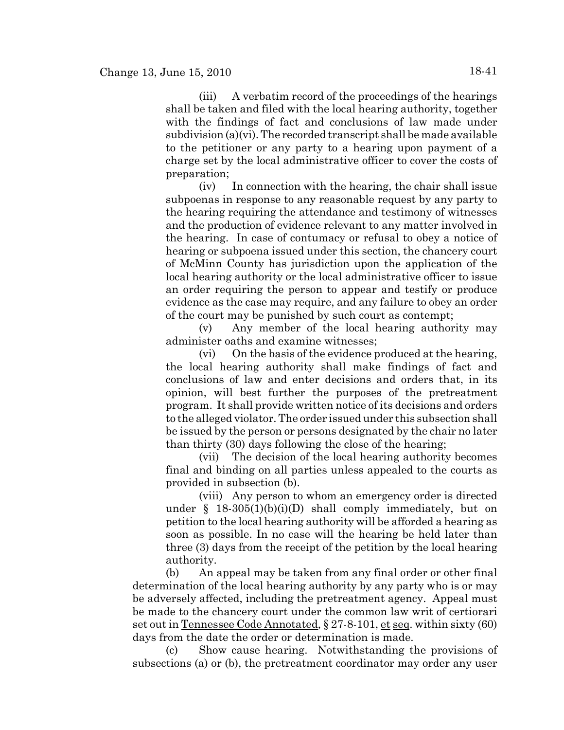(iii) A verbatim record of the proceedings of the hearings shall be taken and filed with the local hearing authority, together with the findings of fact and conclusions of law made under subdivision (a)(vi). The recorded transcript shall be made available to the petitioner or any party to a hearing upon payment of a charge set by the local administrative officer to cover the costs of preparation;

(iv) In connection with the hearing, the chair shall issue subpoenas in response to any reasonable request by any party to the hearing requiring the attendance and testimony of witnesses and the production of evidence relevant to any matter involved in the hearing. In case of contumacy or refusal to obey a notice of hearing or subpoena issued under this section, the chancery court of McMinn County has jurisdiction upon the application of the local hearing authority or the local administrative officer to issue an order requiring the person to appear and testify or produce evidence as the case may require, and any failure to obey an order of the court may be punished by such court as contempt;

(v) Any member of the local hearing authority may administer oaths and examine witnesses;

(vi) On the basis of the evidence produced at the hearing, the local hearing authority shall make findings of fact and conclusions of law and enter decisions and orders that, in its opinion, will best further the purposes of the pretreatment program. It shall provide written notice of its decisions and orders to the alleged violator. The order issued under this subsection shall be issued by the person or persons designated by the chair no later than thirty (30) days following the close of the hearing;

(vii) The decision of the local hearing authority becomes final and binding on all parties unless appealed to the courts as provided in subsection (b).

(viii) Any person to whom an emergency order is directed under  $§$  18-305(1)(b)(i)(D) shall comply immediately, but on petition to the local hearing authority will be afforded a hearing as soon as possible. In no case will the hearing be held later than three (3) days from the receipt of the petition by the local hearing authority.

(b) An appeal may be taken from any final order or other final determination of the local hearing authority by any party who is or may be adversely affected, including the pretreatment agency. Appeal must be made to the chancery court under the common law writ of certiorari set out in Tennessee Code Annotated, § 27-8-101, et seq. within sixty (60) days from the date the order or determination is made.

(c) Show cause hearing. Notwithstanding the provisions of subsections (a) or (b), the pretreatment coordinator may order any user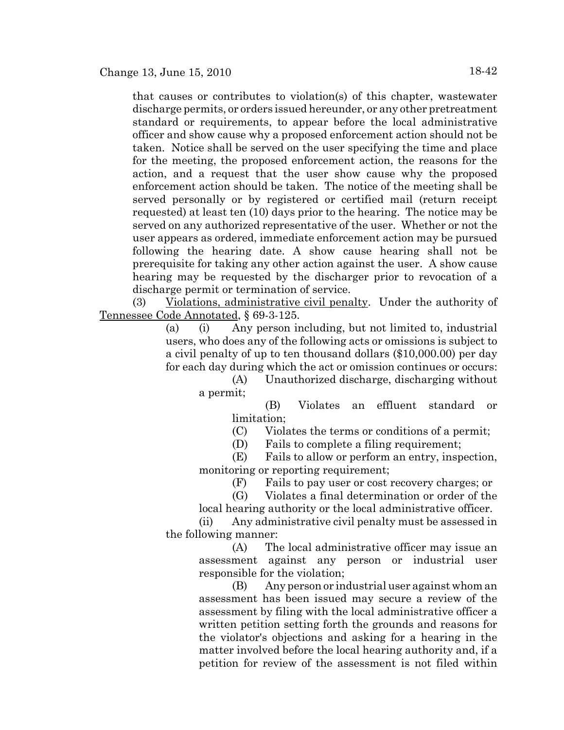that causes or contributes to violation(s) of this chapter, wastewater discharge permits, or orders issued hereunder, or any other pretreatment standard or requirements, to appear before the local administrative officer and show cause why a proposed enforcement action should not be taken. Notice shall be served on the user specifying the time and place for the meeting, the proposed enforcement action, the reasons for the action, and a request that the user show cause why the proposed enforcement action should be taken. The notice of the meeting shall be served personally or by registered or certified mail (return receipt requested) at least ten (10) days prior to the hearing. The notice may be served on any authorized representative of the user. Whether or not the user appears as ordered, immediate enforcement action may be pursued following the hearing date. A show cause hearing shall not be prerequisite for taking any other action against the user. A show cause hearing may be requested by the discharger prior to revocation of a discharge permit or termination of service.

(3) Violations, administrative civil penalty. Under the authority of Tennessee Code Annotated, § 69-3-125.

> (a) (i) Any person including, but not limited to, industrial users, who does any of the following acts or omissions is subject to a civil penalty of up to ten thousand dollars (\$10,000.00) per day for each day during which the act or omission continues or occurs:

(A) Unauthorized discharge, discharging without a permit;

> (B) Violates an effluent standard or limitation;

(C) Violates the terms or conditions of a permit;

(D) Fails to complete a filing requirement;

(E) Fails to allow or perform an entry, inspection, monitoring or reporting requirement;

(F) Fails to pay user or cost recovery charges; or

(G) Violates a final determination or order of the local hearing authority or the local administrative officer.

(ii) Any administrative civil penalty must be assessed in the following manner:

(A) The local administrative officer may issue an assessment against any person or industrial user responsible for the violation;

(B) Any person or industrial user against whom an assessment has been issued may secure a review of the assessment by filing with the local administrative officer a written petition setting forth the grounds and reasons for the violator's objections and asking for a hearing in the matter involved before the local hearing authority and, if a petition for review of the assessment is not filed within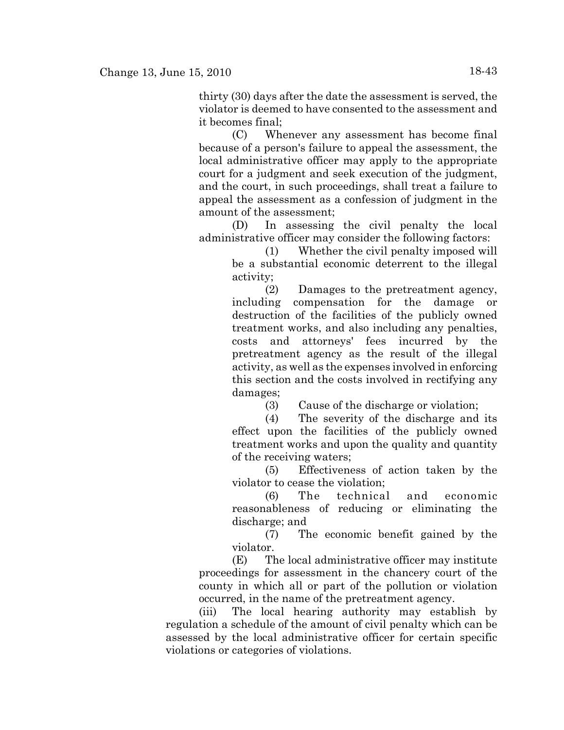thirty (30) days after the date the assessment is served, the violator is deemed to have consented to the assessment and it becomes final;

(C) Whenever any assessment has become final because of a person's failure to appeal the assessment, the local administrative officer may apply to the appropriate court for a judgment and seek execution of the judgment, and the court, in such proceedings, shall treat a failure to appeal the assessment as a confession of judgment in the amount of the assessment;

(D) In assessing the civil penalty the local administrative officer may consider the following factors:

> (1) Whether the civil penalty imposed will be a substantial economic deterrent to the illegal activity;

> (2) Damages to the pretreatment agency, including compensation for the damage or destruction of the facilities of the publicly owned treatment works, and also including any penalties, costs and attorneys' fees incurred by the pretreatment agency as the result of the illegal activity, as well as the expenses involved in enforcing this section and the costs involved in rectifying any damages;

> > (3) Cause of the discharge or violation;

(4) The severity of the discharge and its effect upon the facilities of the publicly owned treatment works and upon the quality and quantity of the receiving waters;

(5) Effectiveness of action taken by the violator to cease the violation;

(6) The technical and economic reasonableness of reducing or eliminating the discharge; and

(7) The economic benefit gained by the violator.

(E) The local administrative officer may institute proceedings for assessment in the chancery court of the county in which all or part of the pollution or violation occurred, in the name of the pretreatment agency.

(iii) The local hearing authority may establish by regulation a schedule of the amount of civil penalty which can be assessed by the local administrative officer for certain specific violations or categories of violations.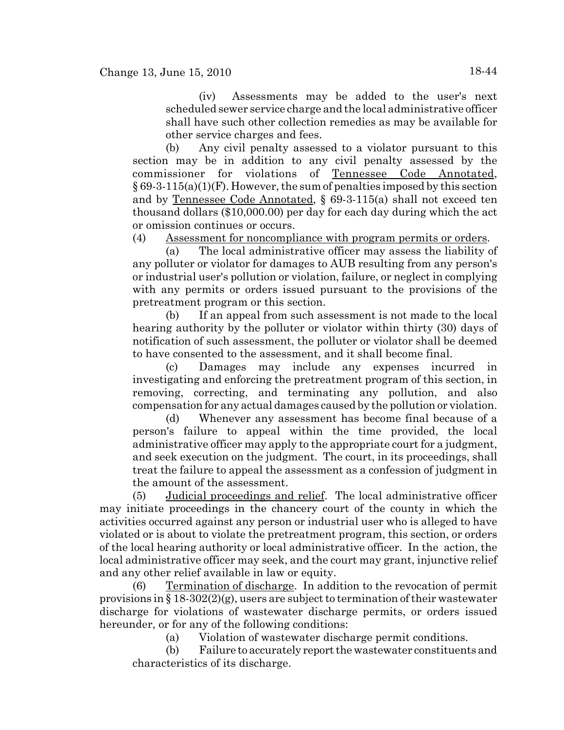(iv) Assessments may be added to the user's next scheduled sewer service charge and the local administrative officer shall have such other collection remedies as may be available for other service charges and fees.

(b) Any civil penalty assessed to a violator pursuant to this section may be in addition to any civil penalty assessed by the commissioner for violations of Tennessee Code Annotated,  $\S 69-3-115(a)(1)(F)$ . However, the sum of penalties imposed by this section and by Tennessee Code Annotated, § 69-3-115(a) shall not exceed ten thousand dollars (\$10,000.00) per day for each day during which the act or omission continues or occurs.

(4) Assessment for noncompliance with program permits or orders.

(a) The local administrative officer may assess the liability of any polluter or violator for damages to AUB resulting from any person's or industrial user's pollution or violation, failure, or neglect in complying with any permits or orders issued pursuant to the provisions of the pretreatment program or this section.

(b) If an appeal from such assessment is not made to the local hearing authority by the polluter or violator within thirty (30) days of notification of such assessment, the polluter or violator shall be deemed to have consented to the assessment, and it shall become final.

(c) Damages may include any expenses incurred in investigating and enforcing the pretreatment program of this section, in removing, correcting, and terminating any pollution, and also compensation for any actual damages caused by the pollution or violation.

(d) Whenever any assessment has become final because of a person's failure to appeal within the time provided, the local administrative officer may apply to the appropriate court for a judgment, and seek execution on the judgment. The court, in its proceedings, shall treat the failure to appeal the assessment as a confession of judgment in the amount of the assessment.

(5) Judicial proceedings and relief. The local administrative officer may initiate proceedings in the chancery court of the county in which the activities occurred against any person or industrial user who is alleged to have violated or is about to violate the pretreatment program, this section, or orders of the local hearing authority or local administrative officer. In the action, the local administrative officer may seek, and the court may grant, injunctive relief and any other relief available in law or equity.

(6) Termination of discharge. In addition to the revocation of permit provisions in  $\S 18-302(2)(g)$ , users are subject to termination of their wastewater discharge for violations of wastewater discharge permits, or orders issued hereunder, or for any of the following conditions:

(a) Violation of wastewater discharge permit conditions.

(b) Failure to accurately report the wastewater constituents and characteristics of its discharge.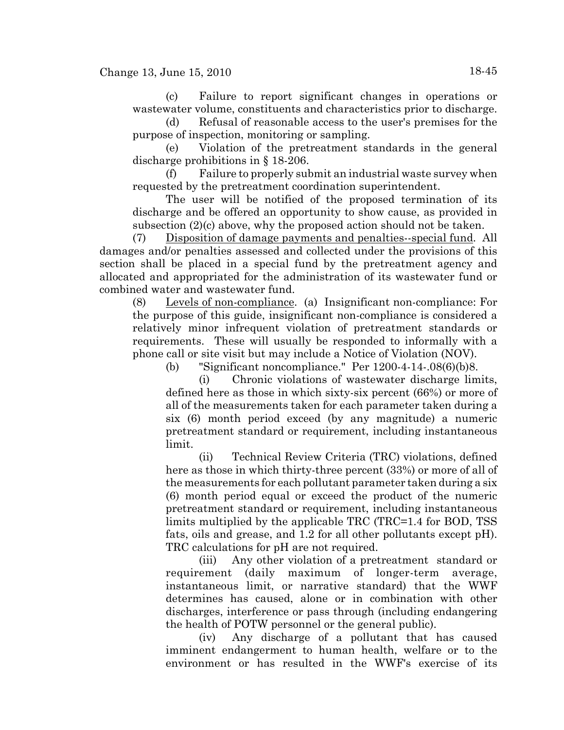(c) Failure to report significant changes in operations or wastewater volume, constituents and characteristics prior to discharge.

(d) Refusal of reasonable access to the user's premises for the purpose of inspection, monitoring or sampling.

(e) Violation of the pretreatment standards in the general discharge prohibitions in § 18-206.

(f) Failure to properly submit an industrial waste survey when requested by the pretreatment coordination superintendent.

The user will be notified of the proposed termination of its discharge and be offered an opportunity to show cause, as provided in subsection (2)(c) above, why the proposed action should not be taken.

(7) Disposition of damage payments and penalties--special fund. All damages and/or penalties assessed and collected under the provisions of this section shall be placed in a special fund by the pretreatment agency and allocated and appropriated for the administration of its wastewater fund or combined water and wastewater fund.

(8) Levels of non-compliance. (a) Insignificant non-compliance: For the purpose of this guide, insignificant non-compliance is considered a relatively minor infrequent violation of pretreatment standards or requirements. These will usually be responded to informally with a phone call or site visit but may include a Notice of Violation (NOV).

(b) "Significant noncompliance." Per 1200-4-14-.08(6)(b)8.

(i) Chronic violations of wastewater discharge limits, defined here as those in which sixty-six percent (66%) or more of all of the measurements taken for each parameter taken during a six (6) month period exceed (by any magnitude) a numeric pretreatment standard or requirement, including instantaneous limit.

(ii) Technical Review Criteria (TRC) violations, defined here as those in which thirty-three percent (33%) or more of all of the measurements for each pollutant parameter taken during a six (6) month period equal or exceed the product of the numeric pretreatment standard or requirement, including instantaneous limits multiplied by the applicable TRC (TRC=1.4 for BOD, TSS fats, oils and grease, and 1.2 for all other pollutants except pH). TRC calculations for pH are not required.

(iii) Any other violation of a pretreatment standard or requirement (daily maximum of longer-term average, instantaneous limit, or narrative standard) that the WWF determines has caused, alone or in combination with other discharges, interference or pass through (including endangering the health of POTW personnel or the general public).

(iv) Any discharge of a pollutant that has caused imminent endangerment to human health, welfare or to the environment or has resulted in the WWF's exercise of its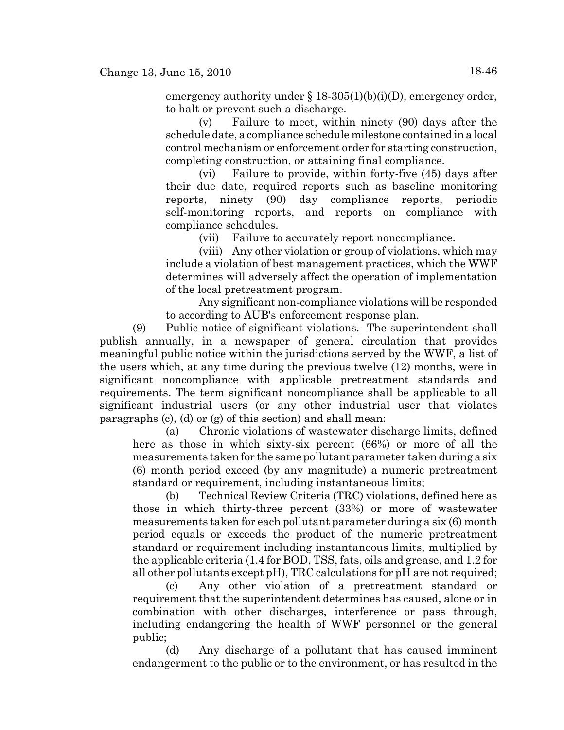emergency authority under § 18-305(1)(b)(i)(D), emergency order, to halt or prevent such a discharge.

(v) Failure to meet, within ninety (90) days after the schedule date, a compliance schedule milestone contained in a local control mechanism or enforcement order for starting construction, completing construction, or attaining final compliance.

(vi) Failure to provide, within forty-five (45) days after their due date, required reports such as baseline monitoring reports, ninety (90) day compliance reports, periodic self-monitoring reports, and reports on compliance with compliance schedules.

(vii) Failure to accurately report noncompliance.

(viii) Any other violation or group of violations, which may include a violation of best management practices, which the WWF determines will adversely affect the operation of implementation of the local pretreatment program.

Any significant non-compliance violations will be responded to according to AUB's enforcement response plan.

(9) Public notice of significant violations. The superintendent shall publish annually, in a newspaper of general circulation that provides meaningful public notice within the jurisdictions served by the WWF, a list of the users which, at any time during the previous twelve (12) months, were in significant noncompliance with applicable pretreatment standards and requirements. The term significant noncompliance shall be applicable to all significant industrial users (or any other industrial user that violates paragraphs (c), (d) or (g) of this section) and shall mean:

(a) Chronic violations of wastewater discharge limits, defined here as those in which sixty-six percent (66%) or more of all the measurements taken for the same pollutant parameter taken during a six (6) month period exceed (by any magnitude) a numeric pretreatment standard or requirement, including instantaneous limits;

(b) Technical Review Criteria (TRC) violations, defined here as those in which thirty-three percent (33%) or more of wastewater measurements taken for each pollutant parameter during a six (6) month period equals or exceeds the product of the numeric pretreatment standard or requirement including instantaneous limits, multiplied by the applicable criteria (1.4 for BOD, TSS, fats, oils and grease, and 1.2 for all other pollutants except pH), TRC calculations for pH are not required;

(c) Any other violation of a pretreatment standard or requirement that the superintendent determines has caused, alone or in combination with other discharges, interference or pass through, including endangering the health of WWF personnel or the general public;

(d) Any discharge of a pollutant that has caused imminent endangerment to the public or to the environment, or has resulted in the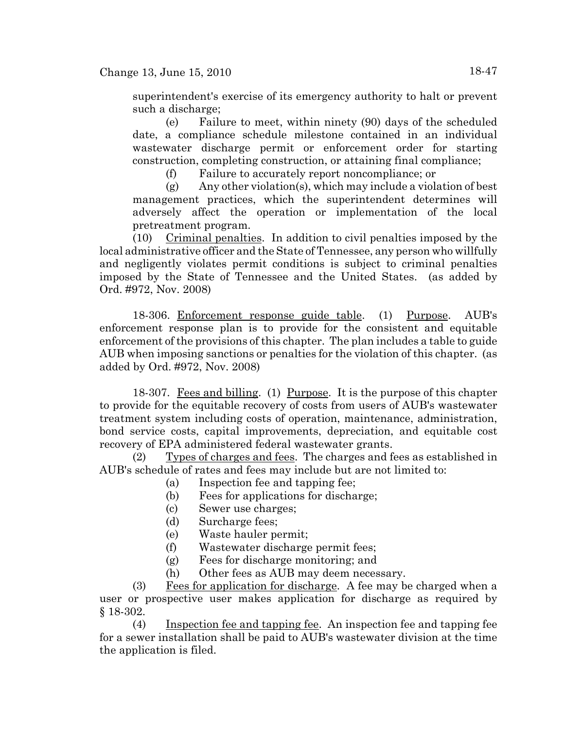superintendent's exercise of its emergency authority to halt or prevent such a discharge;

(e) Failure to meet, within ninety (90) days of the scheduled date, a compliance schedule milestone contained in an individual wastewater discharge permit or enforcement order for starting construction, completing construction, or attaining final compliance;

(f) Failure to accurately report noncompliance; or

(g) Any other violation(s), which may include a violation of best management practices, which the superintendent determines will adversely affect the operation or implementation of the local pretreatment program.

(10) Criminal penalties. In addition to civil penalties imposed by the local administrative officer and the State of Tennessee, any person who willfully and negligently violates permit conditions is subject to criminal penalties imposed by the State of Tennessee and the United States. (as added by Ord. #972, Nov. 2008)

18-306. Enforcement response guide table. (1) Purpose. AUB's enforcement response plan is to provide for the consistent and equitable enforcement of the provisions of this chapter. The plan includes a table to guide AUB when imposing sanctions or penalties for the violation of this chapter. (as added by Ord. #972, Nov. 2008)

18-307. Fees and billing. (1) Purpose. It is the purpose of this chapter to provide for the equitable recovery of costs from users of AUB's wastewater treatment system including costs of operation, maintenance, administration, bond service costs, capital improvements, depreciation, and equitable cost recovery of EPA administered federal wastewater grants.

(2) Types of charges and fees. The charges and fees as established in AUB's schedule of rates and fees may include but are not limited to:

- (a) Inspection fee and tapping fee;
- (b) Fees for applications for discharge;
- (c) Sewer use charges;
- (d) Surcharge fees;
- (e) Waste hauler permit;
- (f) Wastewater discharge permit fees;
- (g) Fees for discharge monitoring; and
- (h) Other fees as AUB may deem necessary.

(3) Fees for application for discharge. A fee may be charged when a user or prospective user makes application for discharge as required by § 18-302.

(4) Inspection fee and tapping fee. An inspection fee and tapping fee for a sewer installation shall be paid to AUB's wastewater division at the time the application is filed.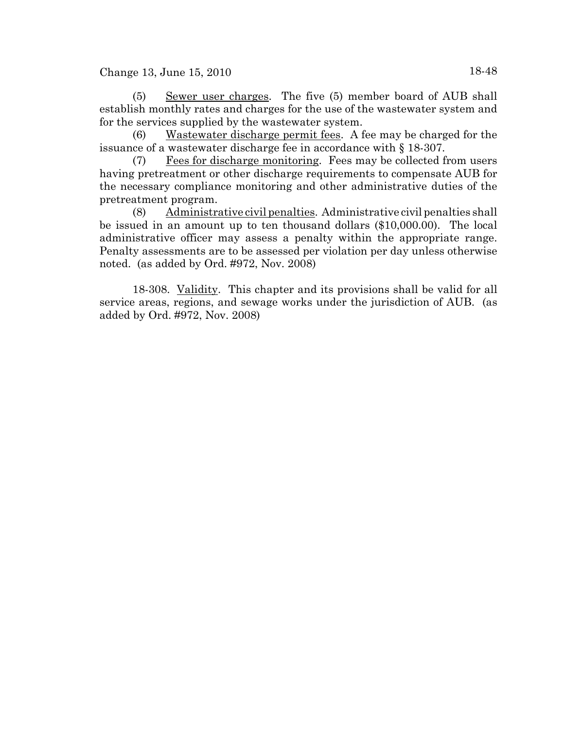(5) Sewer user charges. The five (5) member board of AUB shall establish monthly rates and charges for the use of the wastewater system and for the services supplied by the wastewater system.

(6) Wastewater discharge permit fees. A fee may be charged for the issuance of a wastewater discharge fee in accordance with § 18-307.

(7) Fees for discharge monitoring. Fees may be collected from users having pretreatment or other discharge requirements to compensate AUB for the necessary compliance monitoring and other administrative duties of the pretreatment program.

(8) Administrative civil penalties. Administrative civil penalties shall be issued in an amount up to ten thousand dollars (\$10,000.00). The local administrative officer may assess a penalty within the appropriate range. Penalty assessments are to be assessed per violation per day unless otherwise noted. (as added by Ord. #972, Nov. 2008)

18-308. Validity. This chapter and its provisions shall be valid for all service areas, regions, and sewage works under the jurisdiction of AUB. (as added by Ord. #972, Nov. 2008)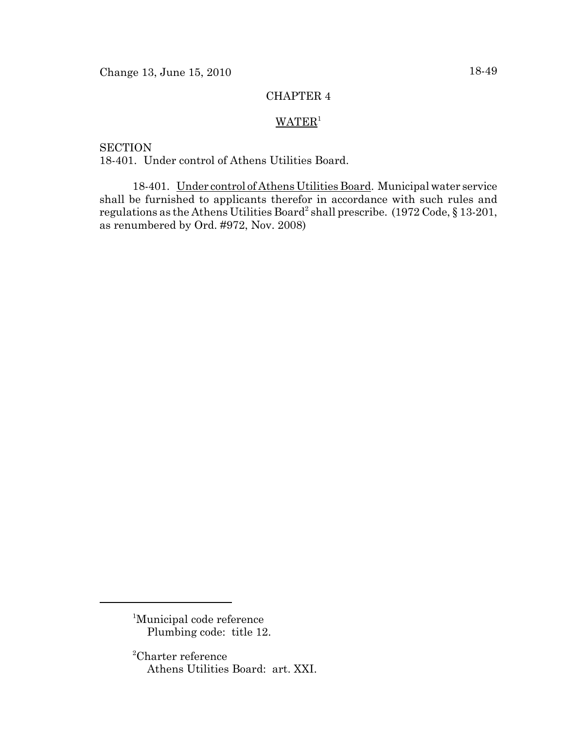## CHAPTER 4

# $WATER<sup>1</sup>$

**SECTION** 18-401. Under control of Athens Utilities Board.

18-401. Under control of Athens Utilities Board. Municipal water service shall be furnished to applicants therefor in accordance with such rules and regulations as the Athens Utilities Board<sup>2</sup> shall prescribe.  $(1972 \text{ Code}, \S 13\text{-}201,$ as renumbered by Ord. #972, Nov. 2008)

<sup>&</sup>lt;sup>1</sup>Municipal code reference Plumbing code: title 12.

<sup>2</sup> Charter reference Athens Utilities Board: art. XXI.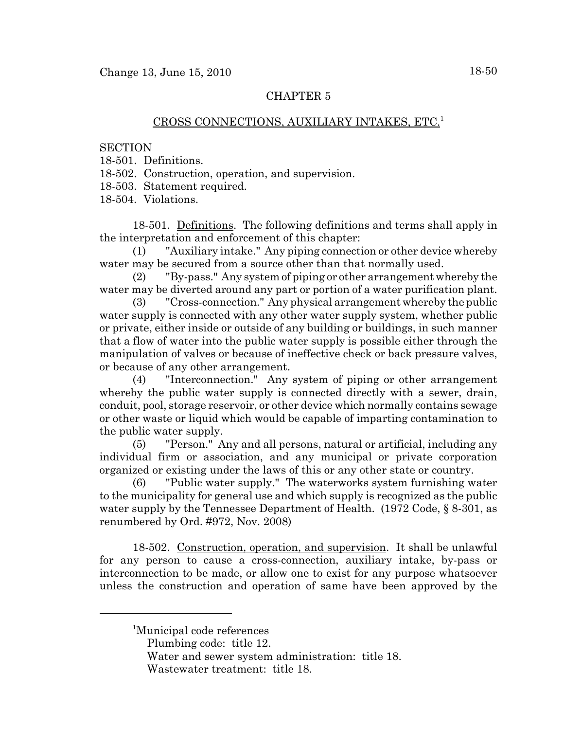## CHAPTER 5

### CROSS CONNECTIONS, AUXILIARY INTAKES, ETC.1

#### **SECTION**

- 18-501. Definitions.
- 18-502. Construction, operation, and supervision.

18-503. Statement required.

18-504. Violations.

18-501. Definitions. The following definitions and terms shall apply in the interpretation and enforcement of this chapter:

(1) "Auxiliary intake." Any piping connection or other device whereby water may be secured from a source other than that normally used.

(2) "By-pass." Any system of piping or other arrangement whereby the water may be diverted around any part or portion of a water purification plant.

(3) "Cross-connection." Any physical arrangement whereby the public water supply is connected with any other water supply system, whether public or private, either inside or outside of any building or buildings, in such manner that a flow of water into the public water supply is possible either through the manipulation of valves or because of ineffective check or back pressure valves, or because of any other arrangement.

(4) "Interconnection." Any system of piping or other arrangement whereby the public water supply is connected directly with a sewer, drain, conduit, pool, storage reservoir, or other device which normally contains sewage or other waste or liquid which would be capable of imparting contamination to the public water supply.

(5) "Person." Any and all persons, natural or artificial, including any individual firm or association, and any municipal or private corporation organized or existing under the laws of this or any other state or country.

"Public water supply." The waterworks system furnishing water to the municipality for general use and which supply is recognized as the public water supply by the Tennessee Department of Health. (1972 Code, § 8-301, as renumbered by Ord. #972, Nov. 2008)

18-502. Construction, operation, and supervision. It shall be unlawful for any person to cause a cross-connection, auxiliary intake, by-pass or interconnection to be made, or allow one to exist for any purpose whatsoever unless the construction and operation of same have been approved by the

<sup>&</sup>lt;sup>1</sup>Municipal code references

Plumbing code: title 12.

Water and sewer system administration: title 18.

Wastewater treatment: title 18.